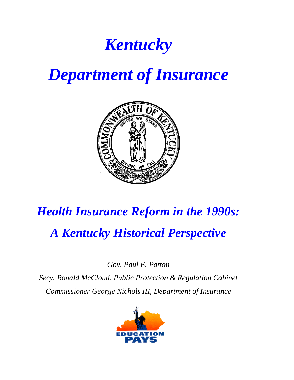## *Kentucky*

## *Department of Insurance*



# *Health Insurance Reform in the 1990s: A Kentucky Historical Perspective*

*Gov. Paul E. Patton*

*Secy. Ronald McCloud, Public Protection & Regulation Cabinet Commissioner George Nichols III, Department of Insurance*

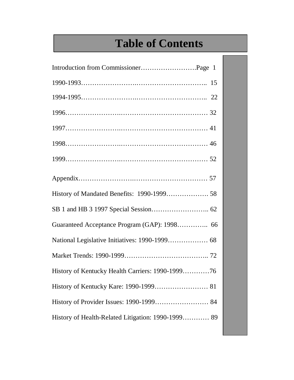## **Table of Contents**

| Guaranteed Acceptance Program (GAP): 1998 66       |
|----------------------------------------------------|
| National Legislative Initiatives: 1990-1999 68     |
|                                                    |
| History of Kentucky Health Carriers: 1990-199976   |
|                                                    |
|                                                    |
| History of Health-Related Litigation: 1990-1999 89 |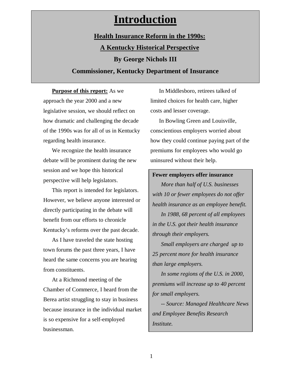### **Introduction**

### **Health Insurance Reform in the 1990s: A Kentucky Historical Perspective By George Nichols III**

### **Commissioner, Kentucky Department of Insurance**

**Purpose of this report:** As we approach the year 2000 and a new legislative session, we should reflect on how dramatic and challenging the decade of the 1990s was for all of us in Kentucky regarding health insurance.

We recognize the health insurance debate will be prominent during the new session and we hope this historical perspective will help legislators.

This report is intended for legislators. However, we believe anyone interested or directly participating in the debate will benefit from our efforts to chronicle Kentucky's reforms over the past decade.

As I have traveled the state hosting town forums the past three years, I have heard the same concerns you are hearing from constituents.

At a Richmond meeting of the Chamber of Commerce, I heard from the Berea artist struggling to stay in business because insurance in the individual market is so expensive for a self-employed businessman.

In Middlesboro, retirees talked of limited choices for health care, higher costs and lesser coverage.

In Bowling Green and Louisville, conscientious employers worried about how they could continue paying part of the premiums for employees who would go uninsured without their help.

#### **Fewer employers offer insurance**

*More than half of U.S. businesses with 10 or fewer employees do not offer health insurance as an employee benefit.*

*In 1988, 68 percent of all employees in the U.S. got their health insurance through their employers.*

*Small employers are charged up to 25 percent more for health insurance than large employers.*

*In some regions of the U.S. in 2000, premiums will increase up to 40 percent for small employers.*

*-- Source: Managed Healthcare News and Employee Benefits Research Institute.*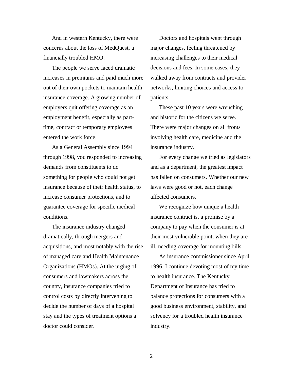And in western Kentucky, there were concerns about the loss of MedQuest, a financially troubled HMO.

The people we serve faced dramatic increases in premiums and paid much more out of their own pockets to maintain health insurance coverage. A growing number of employers quit offering coverage as an employment benefit, especially as parttime, contract or temporary employees entered the work force.

As a General Assembly since 1994 through 1998, you responded to increasing demands from constituents to do something for people who could not get insurance because of their health status, to increase consumer protections, and to guarantee coverage for specific medical conditions.

The insurance industry changed dramatically, through mergers and acquisitions, and most notably with the rise of managed care and Health Maintenance Organizations (HMOs). At the urging of consumers and lawmakers across the country, insurance companies tried to control costs by directly intervening to decide the number of days of a hospital stay and the types of treatment options a doctor could consider.

Doctors and hospitals went through major changes, feeling threatened by increasing challenges to their medical decisions and fees. In some cases, they walked away from contracts and provider networks, limiting choices and access to patients.

These past 10 years were wrenching and historic for the citizens we serve. There were major changes on all fronts involving health care, medicine and the insurance industry.

For every change we tried as legislators and as a department, the greatest impact has fallen on consumers. Whether our new laws were good or not, each change affected consumers.

We recognize how unique a health insurance contract is, a promise by a company to pay when the consumer is at their most vulnerable point, when they are ill, needing coverage for mounting bills.

As insurance commissioner since April 1996, I continue devoting most of my time to health insurance. The Kentucky Department of Insurance has tried to balance protections for consumers with a good business environment, stability, and solvency for a troubled health insurance industry.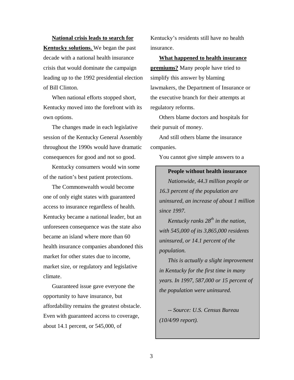**National crisis leads to search for Kentucky solutions.** We began the past decade with a national health insurance crisis that would dominate the campaign leading up to the 1992 presidential election of Bill Clinton.

When national efforts stopped short, Kentucky moved into the forefront with its own options.

The changes made in each legislative session of the Kentucky General Assembly throughout the 1990s would have dramatic consequences for good and not so good.

Kentucky consumers would win some of the nation's best patient protections.

The Commonwealth would become one of only eight states with guaranteed access to insurance regardless of health. Kentucky became a national leader, but an unforeseen consequence was the state also became an island where more than 60 health insurance companies abandoned this market for other states due to income, market size, or regulatory and legislative climate.

Guaranteed issue gave everyone the opportunity to have insurance, but affordability remains the greatest obstacle. Even with guaranteed access to coverage, about 14.1 percent, or 545,000, of

Kentucky's residents still have no health insurance.

**What happened to health insurance premiums?** Many people have tried to simplify this answer by blaming lawmakers, the Department of Insurance or the executive branch for their attempts at regulatory reforms.

Others blame doctors and hospitals for their pursuit of money.

And still others blame the insurance companies.

You cannot give simple answers to a

#### **People without health insurance**

*Nationwide, 44.3 million people or 16.3 percent of the population are uninsured, an increase of about 1 million since 1997.*

*Kentucky ranks 28th in the nation, with 545,000 of its 3,865,000 residents uninsured, or 14.1 percent of the population.*

*This is actually a slight improvement in Kentucky for the first time in many years. In 1997, 587,000 or 15 percent of the population were uninsured.*

*-- Source: U.S. Census Bureau (10/4/99 report).*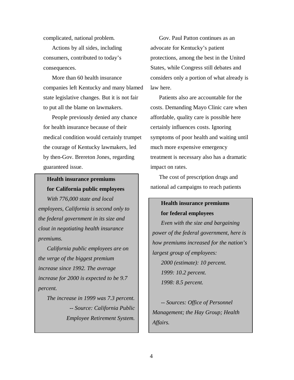complicated, national problem.

Actions by all sides, including consumers, contributed to today's consequences.

More than 60 health insurance companies left Kentucky and many blamed state legislative changes. But it is not fair to put all the blame on lawmakers.

People previously denied any chance for health insurance because of their medical condition would certainly trumpet the courage of Kentucky lawmakers, led by then-Gov. Brereton Jones, regarding guaranteed issue.

### **Health insurance premiums for California public employees**

*With 776,000 state and local employees, California is second only to the federal government in its size and clout in negotiating health insurance premiums.*

*California public employees are on the verge of the biggest premium increase since 1992. The average increase for 2000 is expected to be 9.7 percent.*

*The increase in 1999 was 7.3 percent. -- Source: California Public Employee Retirement System.*

Gov. Paul Patton continues as an advocate for Kentucky's patient protections, among the best in the United States, while Congress still debates and considers only a portion of what already is law here.

Patients also are accountable for the costs. Demanding Mayo Clinic care when affordable, quality care is possible here certainly influences costs. Ignoring symptoms of poor health and waiting until much more expensive emergency treatment is necessary also has a dramatic impact on rates.

The cost of prescription drugs and national ad campaigns to reach patients

### **Health insurance premiums**

**for federal employees**

*Even with the size and bargaining power of the federal government, here is how premiums increased for the nation's largest group of employees: 2000 (estimate): 10 percent. 1999: 10.2 percent. 1998: 8.5 percent.*

*-- Sources: Office of Personnel Management; the Hay Group; Health Affairs.*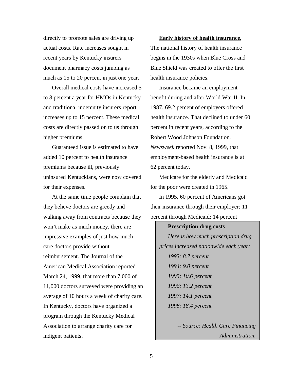directly to promote sales are driving up actual costs. Rate increases sought in recent years by Kentucky insurers document pharmacy costs jumping as much as 15 to 20 percent in just one year.

Overall medical costs have increased 5 to 8 percent a year for HMOs in Kentucky and traditional indemnity insurers report increases up to 15 percent. These medical costs are directly passed on to us through higher premiums.

Guaranteed issue is estimated to have added 10 percent to health insurance premiums because ill, previously uninsured Kentuckians, were now covered for their expenses.

At the same time people complain that they believe doctors are greedy and walking away from contracts because they won't make as much money, there are impressive examples of just how much care doctors provide without reimbursement. The Journal of the American Medical Association reported March 24, 1999, that more than 7,000 of 11,000 doctors surveyed were providing an average of 10 hours a week of charity care. In Kentucky, doctors have organized a program through the Kentucky Medical Association to arrange charity care for indigent patients.

**Early history of health insurance.** The national history of health insurance begins in the 1930s when Blue Cross and Blue Shield was created to offer the first health insurance policies.

Insurance became an employment benefit during and after World War II. In 1987, 69.2 percent of employers offered health insurance. That declined to under 60 percent in recent years, according to the Robert Wood Johnson Foundation. *Newsweek* reported Nov. 8, 1999, that employment-based health insurance is at 62 percent today.

Medicare for the elderly and Medicaid for the poor were created in 1965.

In 1995, 60 percent of Americans got their insurance through their employer; 11 percent through Medicaid; 14 percent

**Prescription drug costs** *Here is how much prescription drug prices increased nationwide each year: 1993: 8.7 percent 1994: 9.0 percent 1995: 10.6 percent 1996: 13.2 percent 1997: 14.1 percent 1998: 18.4 percent*

> *-- Source: Health Care Financing Administration.*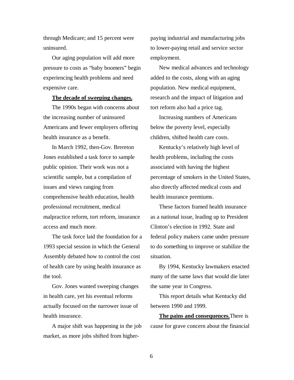through Medicare; and 15 percent were uninsured.

Our aging population will add more pressure to costs as "baby boomers" begin experiencing health problems and need expensive care.

#### **The decade of sweeping changes.**

The 1990s began with concerns about the increasing number of uninsured Americans and fewer employers offering health insurance as a benefit.

In March 1992, then-Gov. Brereton Jones established a task force to sample public opinion. Their work was not a scientific sample, but a compilation of issues and views ranging from comprehensive health education, health professional recruitment, medical malpractice reform, tort reform, insurance access and much more.

The task force laid the foundation for a 1993 special session in which the General Assembly debated how to control the cost of health care by using health insurance as the tool.

Gov. Jones wanted sweeping changes in health care, yet his eventual reforms actually focused on the narrower issue of health insurance.

A major shift was happening in the job market, as more jobs shifted from higherpaying industrial and manufacturing jobs to lower-paying retail and service sector employment.

New medical advances and technology added to the costs, along with an aging population. New medical equipment, research and the impact of litigation and tort reform also had a price tag.

Increasing numbers of Americans below the poverty level, especially children, shifted health care costs.

Kentucky's relatively high level of health problems, including the costs associated with having the highest percentage of smokers in the United States, also directly affected medical costs and health insurance premiums.

These factors framed health insurance as a national issue, leading up to President Clinton's election in 1992. State and federal policy makers came under pressure to do something to improve or stabilize the situation.

By 1994, Kentucky lawmakers enacted many of the same laws that would die later the same year in Congress.

This report details what Kentucky did between 1990 and 1999.

**The pains and consequences.**There is cause for grave concern about the financial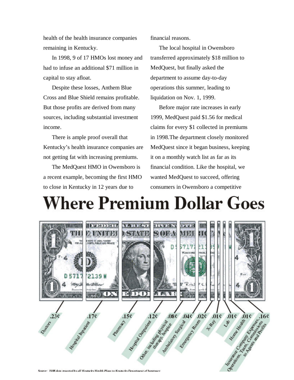health of the health insurance companies remaining in Kentucky.

In 1998, 9 of 17 HMOs lost money and had to infuse an additional \$71 million in capital to stay afloat.

Despite these losses, Anthem Blue Cross and Blue Shield remains profitable. But those profits are derived from many sources, including substantial investment income.

There is ample proof overall that Kentucky's health insurance companies are not getting fat with increasing premiums.

The MedQuest HMO in Owensboro is a recent example, becoming the first HMO to close in Kentucky in 12 years due to

financial reasons.

The local hospital in Owensboro transferred approximately \$18 million to MedQuest, but finally asked the department to assume day-to-day operations this summer, leading to liquidation on Nov. 1, 1999.

Before major rate increases in early 1999, MedQuest paid \$1.56 for medical claims for every \$1 collected in premiums in 1998.The department closely monitored MedQuest since it began business, keeping it on a monthly watch list as far as its financial condition. Like the hospital, we wanted MedQuest to succeed, offering consumers in Owensboro a competitive

# **Where Premium Dollar Goes**

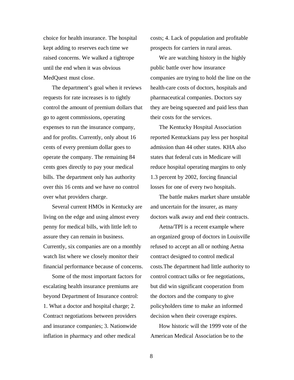choice for health insurance. The hospital kept adding to reserves each time we raised concerns. We walked a tightrope until the end when it was obvious MedQuest must close.

The department's goal when it reviews requests for rate increases is to tightly control the amount of premium dollars that go to agent commissions, operating expenses to run the insurance company, and for profits. Currently, only about 16 cents of every premium dollar goes to operate the company. The remaining 84 cents goes directly to pay your medical bills. The department only has authority over this 16 cents and we have no control over what providers charge.

Several current HMOs in Kentucky are living on the edge and using almost every penny for medical bills, with little left to assure they can remain in business. Currently, six companies are on a monthly watch list where we closely monitor their financial performance because of concerns.

Some of the most important factors for escalating health insurance premiums are beyond Department of Insurance control: 1. What a doctor and hospital charge; 2. Contract negotiations between providers and insurance companies; 3. Nationwide inflation in pharmacy and other medical

costs; 4. Lack of population and profitable prospects for carriers in rural areas.

We are watching history in the highly public battle over how insurance companies are trying to hold the line on the health-care costs of doctors, hospitals and pharmaceutical companies. Doctors say they are being squeezed and paid less than their costs for the services.

The Kentucky Hospital Association reported Kentuckians pay less per hospital admission than 44 other states. KHA also states that federal cuts in Medicare will reduce hospital operating margins to only 1.3 percent by 2002, forcing financial losses for one of every two hospitals.

The battle makes market share unstable and uncertain for the insurer, as many doctors walk away and end their contracts.

Aetna/TPI is a recent example where an organized group of doctors in Louisville refused to accept an all or nothing Aetna contract designed to control medical costs.The department had little authority to control contract talks or fee negotiations, but did win significant cooperation from the doctors and the company to give policyholders time to make an informed decision when their coverage expires.

How historic will the 1999 vote of the American Medical Association be to the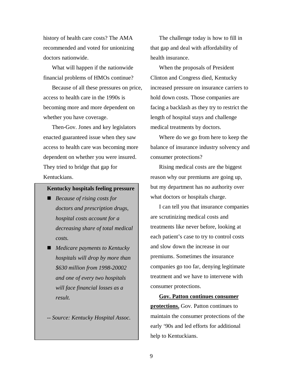history of health care costs? The AMA recommended and voted for unionizing doctors nationwide.

What will happen if the nationwide financial problems of HMOs continue?

Because of all these pressures on price, access to health care in the 1990s is becoming more and more dependent on whether you have coverage.

Then-Gov. Jones and key legislators enacted guaranteed issue when they saw access to health care was becoming more dependent on whether you were insured. They tried to bridge that gap for Kentuckians.

#### **Kentucky hospitals feeling pressure**

- *Because of rising costs for doctors and prescription drugs, hospital costs account for a decreasing share of total medical costs.*
- *Medicare payments to Kentucky hospitals will drop by more than \$630 million from 1998-20002 and one of every two hospitals will face financial losses as a result.*

*-- Source: Kentucky Hospital Assoc.*

The challenge today is how to fill in that gap and deal with affordability of health insurance.

When the proposals of President Clinton and Congress died, Kentucky increased pressure on insurance carriers to hold down costs. Those companies are facing a backlash as they try to restrict the length of hospital stays and challenge medical treatments by doctors.

Where do we go from here to keep the balance of insurance industry solvency and consumer protections?

Rising medical costs are the biggest reason why our premiums are going up, but my department has no authority over what doctors or hospitals charge.

I can tell you that insurance companies are scrutinizing medical costs and treatments like never before, looking at each patient's case to try to control costs and slow down the increase in our premiums. Sometimes the insurance companies go too far, denying legitimate treatment and we have to intervene with consumer protections.

**Gov. Patton continues consumer protections.** Gov. Patton continues to maintain the consumer protections of the early '90s and led efforts for additional help to Kentuckians.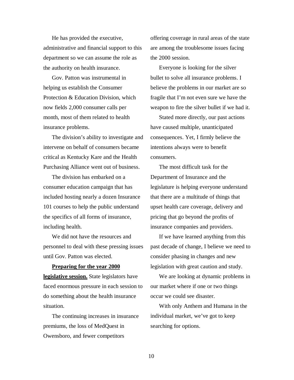He has provided the executive, administrative and financial support to this department so we can assume the role as the authority on health insurance.

Gov. Patton was instrumental in helping us establish the Consumer Protection & Education Division, which now fields 2,000 consumer calls per month, most of them related to health insurance problems.

The division's ability to investigate and intervene on behalf of consumers became critical as Kentucky Kare and the Health Purchasing Alliance went out of business.

The division has embarked on a consumer education campaign that has included hosting nearly a dozen Insurance 101 courses to help the public understand the specifics of all forms of insurance, including health.

We did not have the resources and personnel to deal with these pressing issues until Gov. Patton was elected.

#### **Preparing for the year 2000**

**legislative session.** State legislators have faced enormous pressure in each session to do something about the health insurance situation.

The continuing increases in insurance premiums, the loss of MedQuest in Owensboro, and fewer competitors

offering coverage in rural areas of the state are among the troublesome issues facing the 2000 session.

Everyone is looking for the silver bullet to solve all insurance problems. I believe the problems in our market are so fragile that I'm not even sure we have the weapon to fire the silver bullet if we had it.

Stated more directly, our past actions have caused multiple, unanticipated consequences. Yet, I firmly believe the intentions always were to benefit consumers.

The most difficult task for the Department of Insurance and the legislature is helping everyone understand that there are a multitude of things that upset health care coverage, delivery and pricing that go beyond the profits of insurance companies and providers.

If we have learned anything from this past decade of change, I believe we need to consider phasing in changes and new legislation with great caution and study.

We are looking at dynamic problems in our market where if one or two things occur we could see disaster.

With only Anthem and Humana in the individual market, we've got to keep searching for options.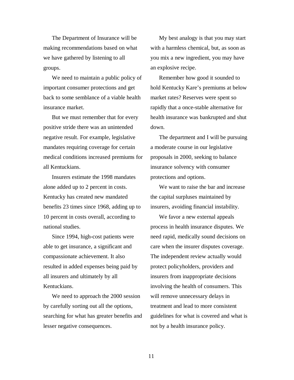The Department of Insurance will be making recommendations based on what we have gathered by listening to all groups.

We need to maintain a public policy of important consumer protections and get back to some semblance of a viable health insurance market.

But we must remember that for every positive stride there was an unintended negative result. For example, legislative mandates requiring coverage for certain medical conditions increased premiums for all Kentuckians.

Insurers estimate the 1998 mandates alone added up to 2 percent in costs. Kentucky has created new mandated benefits 23 times since 1968, adding up to 10 percent in costs overall, according to national studies.

Since 1994, high-cost patients were able to get insurance, a significant and compassionate achievement. It also resulted in added expenses being paid by all insurers and ultimately by all Kentuckians.

We need to approach the 2000 session by carefully sorting out all the options, searching for what has greater benefits and lesser negative consequences.

My best analogy is that you may start with a harmless chemical, but, as soon as you mix a new ingredient, you may have an explosive recipe.

Remember how good it sounded to hold Kentucky Kare's premiums at below market rates? Reserves were spent so rapidly that a once-stable alternative for health insurance was bankrupted and shut down.

The department and I will be pursuing a moderate course in our legislative proposals in 2000, seeking to balance insurance solvency with consumer protections and options.

We want to raise the bar and increase the capital surpluses maintained by insurers, avoiding financial instability.

We favor a new external appeals process in health insurance disputes. We need rapid, medically sound decisions on care when the insurer disputes coverage. The independent review actually would protect policyholders, providers and insurers from inappropriate decisions involving the health of consumers. This will remove unnecessary delays in treatment and lead to more consistent guidelines for what is covered and what is not by a health insurance policy.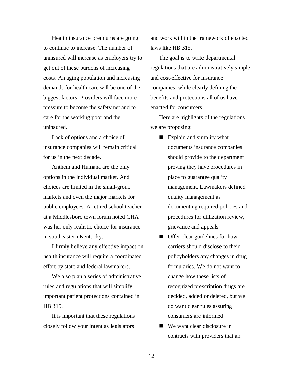Health insurance premiums are going to continue to increase. The number of uninsured will increase as employers try to get out of these burdens of increasing costs. An aging population and increasing demands for health care will be one of the biggest factors. Providers will face more pressure to become the safety net and to care for the working poor and the uninsured.

Lack of options and a choice of insurance companies will remain critical for us in the next decade.

Anthem and Humana are the only options in the individual market. And choices are limited in the small-group markets and even the major markets for public employees. A retired school teacher at a Middlesboro town forum noted CHA was her only realistic choice for insurance in southeastern Kentucky.

I firmly believe any effective impact on health insurance will require a coordinated effort by state and federal lawmakers.

We also plan a series of administrative rules and regulations that will simplify important patient protections contained in HB 315.

It is important that these regulations closely follow your intent as legislators

and work within the framework of enacted laws like HB 315.

The goal is to write departmental regulations that are administratively simple and cost-effective for insurance companies, while clearly defining the benefits and protections all of us have enacted for consumers.

Here are highlights of the regulations we are proposing:

- $\blacksquare$  Explain and simplify what documents insurance companies should provide to the department proving they have procedures in place to guarantee quality management. Lawmakers defined quality management as documenting required policies and procedures for utilization review, grievance and appeals.
- $\blacksquare$  Offer clear guidelines for how carriers should disclose to their policyholders any changes in drug formularies. We do not want to change how these lists of recognized prescription drugs are decided, added or deleted, but we do want clear rules assuring consumers are informed.
- $\blacksquare$  We want clear disclosure in contracts with providers that an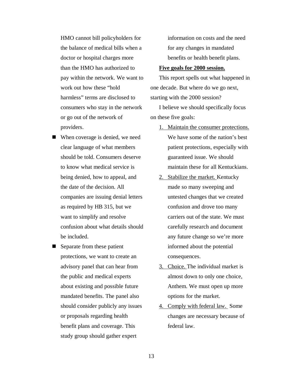HMO cannot bill policyholders for the balance of medical bills when a doctor or hospital charges more than the HMO has authorized to pay within the network. We want to work out how these "hold harmless" terms are disclosed to consumers who stay in the network or go out of the network of providers.

- $\blacksquare$  When coverage is denied, we need clear language of what members should be told. Consumers deserve to know what medical service is being denied, how to appeal, and the date of the decision. All companies are issuing denial letters as required by HB 315, but we want to simplify and resolve confusion about what details should be included.
- $\blacksquare$  Separate from these patient protections, we want to create an advisory panel that can hear from the public and medical experts about existing and possible future mandated benefits. The panel also should consider publicly any issues or proposals regarding health benefit plans and coverage. This study group should gather expert

information on costs and the need for any changes in mandated benefits or health benefit plans.

#### **Five goals for 2000 session.**

This report spells out what happened in one decade. But where do we go next, starting with the 2000 session?

I believe we should specifically focus on these five goals:

- 1. Maintain the consumer protections. We have some of the nation's best patient protections, especially with guaranteed issue. We should maintain these for all Kentuckians.
- 2. Stabilize the market. Kentucky made so many sweeping and untested changes that we created confusion and drove too many carriers out of the state. We must carefully research and document any future change so we're more informed about the potential consequences.
- 3. Choice. The individual market is almost down to only one choice, Anthem. We must open up more options for the market.
- 4. Comply with federal law. Some changes are necessary because of federal law.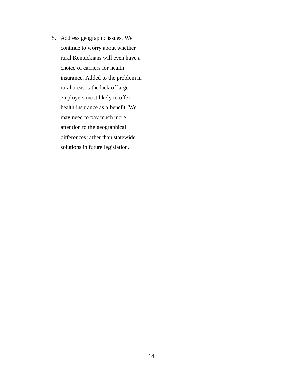5. Address geographic issues. We continue to worry about whether rural Kentuckians will even have a choice of carriers for health insurance. Added to the problem in rural areas is the lack of large employers most likely to offer health insurance as a benefit. We may need to pay much more attention to the geographical differences rather than statewide solutions in future legislation.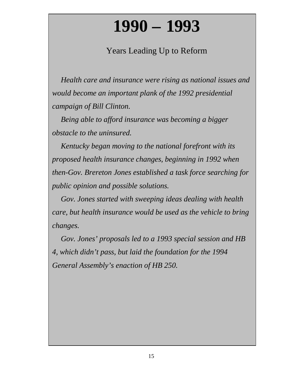# **1990 – 1993**

### Years Leading Up to Reform

*Health care and insurance were rising as national issues and would become an important plank of the 1992 presidential campaign of Bill Clinton.*

*Being able to afford insurance was becoming a bigger obstacle to the uninsured.*

*Kentucky began moving to the national forefront with its proposed health insurance changes, beginning in 1992 when then-Gov. Brereton Jones established a task force searching for public opinion and possible solutions.*

*Gov. Jones started with sweeping ideas dealing with health care, but health insurance would be used as the vehicle to bring changes.*

*Gov. Jones' proposals led to a 1993 special session and HB 4, which didn't pass, but laid the foundation for the 1994 General Assembly's enaction of HB 250.*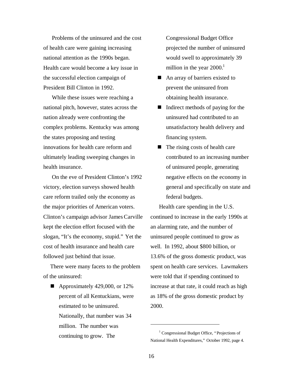Problems of the uninsured and the cost of health care were gaining increasing national attention as the 1990s began. Health care would become a key issue in the successful election campaign of President Bill Clinton in 1992.

While these issues were reaching a national pitch, however, states across the nation already were confronting the complex problems. Kentucky was among the states proposing and testing innovations for health care reform and ultimately leading sweeping changes in health insurance.

On the eve of President Clinton's 1992 victory, election surveys showed health care reform trailed only the economy as the major priorities of American voters. Clinton's campaign advisor James Carville kept the election effort focused with the slogan, "It's the economy, stupid." Yet the cost of health insurance and health care followed just behind that issue.

There were many facets to the problem of the uninsured:

 $\blacksquare$  Approximately 429,000, or 12% percent of all Kentuckians, were estimated to be uninsured. Nationally, that number was 34 million. The number was continuing to grow. The

Congressional Budget Office projected the number of uninsured would swell to approximately 39 million in the year  $2000<sup>1</sup>$ 

- $\blacksquare$  An array of barriers existed to prevent the uninsured from obtaining health insurance.
- $\blacksquare$  Indirect methods of paying for the uninsured had contributed to an unsatisfactory health delivery and financing system.
- $\blacksquare$  The rising costs of health care contributed to an increasing number of uninsured people, generating negative effects on the economy in general and specifically on state and federal budgets.

Health care spending in the U.S. continued to increase in the early 1990s at an alarming rate, and the number of uninsured people continued to grow as well. In 1992, about \$800 billion, or 13.6% of the gross domestic product, was spent on health care services. Lawmakers were told that if spending continued to increase at that rate, it could reach as high as 18% of the gross domestic product by 2000.

l

<sup>&</sup>lt;sup>1</sup> Congressional Budget Office, "Projections of National Health Expenditures," October 1992, page 4.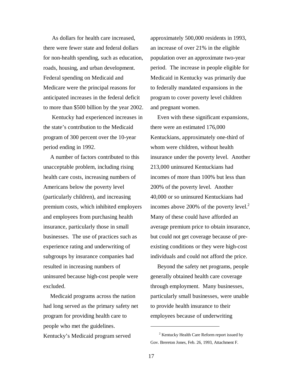As dollars for health care increased, there were fewer state and federal dollars for non-health spending, such as education, roads, housing, and urban development. Federal spending on Medicaid and Medicare were the principal reasons for anticipated increases in the federal deficit to more than \$500 billion by the year 2002.

Kentucky had experienced increases in the state's contribution to the Medicaid program of 300 percent over the 10-year period ending in 1992.

A number of factors contributed to this unacceptable problem, including rising health care costs, increasing numbers of Americans below the poverty level (particularly children), and increasing premium costs, which inhibited employers and employees from purchasing health insurance, particularly those in small businesses. The use of practices such as experience rating and underwriting of subgroups by insurance companies had resulted in increasing numbers of uninsured because high-cost people were excluded.

Medicaid programs across the nation had long served as the primary safety net program for providing health care to people who met the guidelines. Kentucky's Medicaid program served

approximately 500,000 residents in 1993, an increase of over 21% in the eligible population over an approximate two-year period. The increase in people eligible for Medicaid in Kentucky was primarily due to federally mandated expansions in the program to cover poverty level children and pregnant women.

Even with these significant expansions, there were an estimated 176,000 Kentuckians, approximately one-third of whom were children, without health insurance under the poverty level. Another 213,000 uninsured Kentuckians had incomes of more than 100% but less than 200% of the poverty level. Another 40,000 or so uninsured Kentuckians had incomes above 200% of the poverty level. $2$ Many of these could have afforded an average premium price to obtain insurance, but could not get coverage because of preexisting conditions or they were high-cost individuals and could not afford the price.

Beyond the safety net programs, people generally obtained health care coverage through employment. Many businesses, particularly small businesses, were unable to provide health insurance to their employees because of underwriting

 $\overline{a}$ 

<sup>&</sup>lt;sup>2</sup> Kentucky Health Care Reform report issued by Gov. Brereton Jones, Feb. 26, 1993, Attachment F.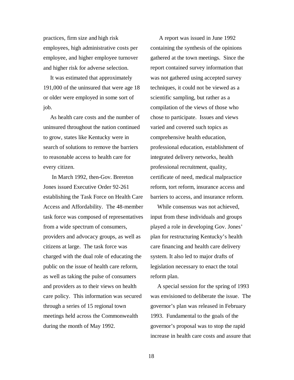practices, firm size and high risk employees, high administrative costs per employee, and higher employee turnover and higher risk for adverse selection.

It was estimated that approximately 191,000 of the uninsured that were age 18 or older were employed in some sort of job.

As health care costs and the number of uninsured throughout the nation continued to grow, states like Kentucky were in search of solutions to remove the barriers to reasonable access to health care for every citizen.

In March 1992, then-Gov. Brereton Jones issued Executive Order 92-261 establishing the Task Force on Health Care Access and Affordability. The 48-member task force was composed of representatives from a wide spectrum of consumers, providers and advocacy groups, as well as citizens at large. The task force was charged with the dual role of educating the public on the issue of health care reform, as well as taking the pulse of consumers and providers as to their views on health care policy. This information was secured through a series of 15 regional town meetings held across the Commonwealth during the month of May 1992.

A report was issued in June 1992 containing the synthesis of the opinions gathered at the town meetings. Since the report contained survey information that was not gathered using accepted survey techniques, it could not be viewed as a scientific sampling, but rather as a compilation of the views of those who chose to participate. Issues and views varied and covered such topics as comprehensive health education, professional education, establishment of integrated delivery networks, health professional recruitment, quality, certificate of need, medical malpractice reform, tort reform, insurance access and barriers to access, and insurance reform.

While consensus was not achieved, input from these individuals and groups played a role in developing Gov. Jones' plan for restructuring Kentucky's health care financing and health care delivery system. It also led to major drafts of legislation necessary to enact the total reform plan.

A special session for the spring of 1993 was envisioned to deliberate the issue. The governor's plan was released in February 1993. Fundamental to the goals of the governor's proposal was to stop the rapid increase in health care costs and assure that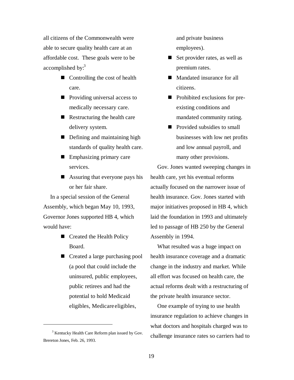all citizens of the Commonwealth were able to secure quality health care at an affordable cost. These goals were to be accomplished by: $3$ 

- $\blacksquare$  Controlling the cost of health care.
- $\blacksquare$  Providing universal access to medically necessary care.
- $\blacksquare$  Restructuring the health care delivery system.
- $\blacksquare$  Defining and maintaining high standards of quality health care.
- $\blacksquare$  Emphasizing primary care services.
- $\blacksquare$  Assuring that everyone pays his or her fair share.

In a special session of the General Assembly, which began May 10, 1993, Governor Jones supported HB 4, which would have:

- Created the Health Policy Board.
- Created a large purchasing pool (a pool that could include the uninsured, public employees, public retirees and had the potential to hold Medicaid eligibles, Medicare eligibles,

1

and private business employees).

- $\blacksquare$  Set provider rates, as well as premium rates.
- $\blacksquare$  Mandated insurance for all citizens.
- Prohibited exclusions for preexisting conditions and mandated community rating.
- $\blacksquare$  Provided subsidies to small businesses with low net profits and low annual payroll, and many other provisions.

Gov. Jones wanted sweeping changes in health care, yet his eventual reforms actually focused on the narrower issue of health insurance. Gov. Jones started with major initiatives proposed in HB 4, which laid the foundation in 1993 and ultimately led to passage of HB 250 by the General Assembly in 1994.

What resulted was a huge impact on health insurance coverage and a dramatic change in the industry and market. While all effort was focused on health care, the actual reforms dealt with a restructuring of the private health insurance sector.

One example of trying to use health insurance regulation to achieve changes in what doctors and hospitals charged was to challenge insurance rates so carriers had to

<sup>&</sup>lt;sup>3</sup> Kentucky Health Care Reform plan issued by Gov. Brereton Jones, Feb. 26, 1993.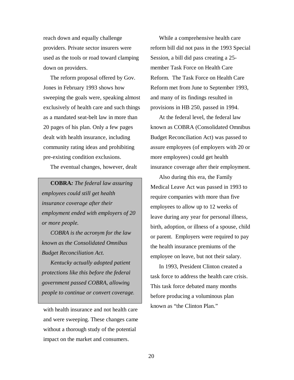reach down and equally challenge providers. Private sector insurers were used as the tools or road toward clamping down on providers.

The reform proposal offered by Gov. Jones in February 1993 shows how sweeping the goals were, speaking almost exclusively of health care and such things as a mandated seat-belt law in more than 20 pages of his plan. Only a few pages dealt with health insurance, including community rating ideas and prohibiting pre-existing condition exclusions.

The eventual changes, however, dealt

**COBRA***: The federal law assuring employees could still get health insurance coverage after their employment ended with employers of 20 or more people.*

*COBRA is the acronym for the law known as the Consolidated Omnibus Budget Reconciliation Act.*

*Kentucky actually adopted patient protections like this before the federal government passed COBRA, allowing people to continue or convert coverage.*

with health insurance and not health care and were sweeping. These changes came without a thorough study of the potential impact on the market and consumers.

While a comprehensive health care reform bill did not pass in the 1993 Special Session, a bill did pass creating a 25 member Task Force on Health Care Reform. The Task Force on Health Care Reform met from June to September 1993, and many of its findings resulted in provisions in HB 250, passed in 1994.

At the federal level, the federal law known as COBRA (Consolidated Omnibus Budget Reconciliation Act) was passed to assure employees (of employers with 20 or more employees) could get health insurance coverage after their employment.

Also during this era, the Family Medical Leave Act was passed in 1993 to require companies with more than five employees to allow up to 12 weeks of leave during any year for personal illness, birth, adoption, or illness of a spouse, child or parent. Employers were required to pay the health insurance premiums of the employee on leave, but not their salary.

In 1993, President Clinton created a task force to address the health care crisis. This task force debated many months before producing a voluminous plan known as "the Clinton Plan."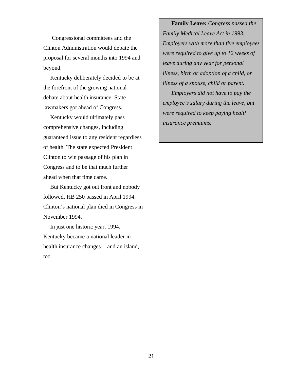Congressional committees and the Clinton Administration would debate the proposal for several months into 1994 and beyond.

Kentucky deliberately decided to be at the forefront of the growing national debate about health insurance. State lawmakers got ahead of Congress.

Kentucky would ultimately pass comprehensive changes, including guaranteed issue to any resident regardless of health. The state expected President Clinton to win passage of his plan in Congress and to be that much further ahead when that time came.

But Kentucky got out front and nobody followed. HB 250 passed in April 1994. Clinton's national plan died in Congress in November 1994.

In just one historic year, 1994, Kentucky became a national leader in health insurance changes – and an island, too.

**Family Leave***: Congress passed the Family Medical Leave Act in 1993. Employers with more than five employees were required to give up to 12 weeks of leave during any year for personal illness, birth or adoption of a child, or illness of a spouse, child or parent.*

*Employers did not have to pay the employee's salary during the leave, but were required to keep paying health insurance premiums.*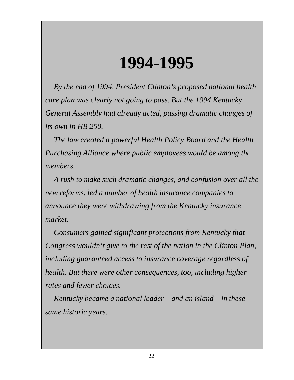## **1994-1995**

*By the end of 1994, President Clinton's proposed national health care plan was clearly not going to pass. But the 1994 Kentucky General Assembly had already acted, passing dramatic changes of its own in HB 250.*

*The law created a powerful Health Policy Board and the Health Purchasing Alliance where public employees would be among the members.*

*A rush to make such dramatic changes, and confusion over all the new reforms, led a number of health insurance companies to announce they were withdrawing from the Kentucky insurance market.*

*Consumers gained significant protections from Kentucky that Congress wouldn't give to the rest of the nation in the Clinton Plan, including guaranteed access to insurance coverage regardless of health. But there were other consequences, too, including higher rates and fewer choices.*

*Kentucky became a national leader – and an island – in these same historic years.*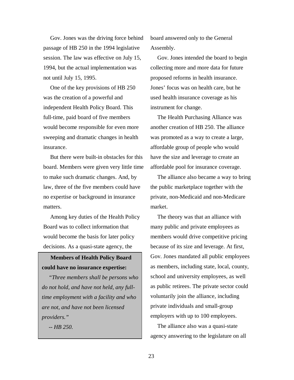Gov. Jones was the driving force behind passage of HB 250 in the 1994 legislative session. The law was effective on July 15, 1994, but the actual implementation was not until July 15, 1995.

One of the key provisions of HB 250 was the creation of a powerful and independent Health Policy Board. This full-time, paid board of five members would become responsible for even more sweeping and dramatic changes in health insurance.

But there were built-in obstacles for this board. Members were given very little time to make such dramatic changes. And, by law, three of the five members could have no expertise or background in insurance matters.

Among key duties of the Health Policy Board was to collect information that would become the basis for later policy decisions. As a quasi-state agency, the

**Members of Health Policy Board could have no insurance expertise:**

*"Three members shall be persons who do not hold, and have not held, any fulltime employment with a facility and who are not, and have not been licensed providers."*

*-- HB 250.*

board answered only to the General Assembly.

Gov. Jones intended the board to begin collecting more and more data for future proposed reforms in health insurance. Jones' focus was on health care, but he used health insurance coverage as his instrument for change.

The Health Purchasing Alliance was another creation of HB 250. The alliance was promoted as a way to create a large, affordable group of people who would have the size and leverage to create an affordable pool for insurance coverage.

The alliance also became a way to bring the public marketplace together with the private, non-Medicaid and non-Medicare market.

The theory was that an alliance with many public and private employees as members would drive competitive pricing because of its size and leverage. At first, Gov. Jones mandated all public employees as members, including state, local, county, school and university employees, as well as public retirees. The private sector could voluntarily join the alliance, including private individuals and small-group employers with up to 100 employees.

The alliance also was a quasi-state agency answering to the legislature on all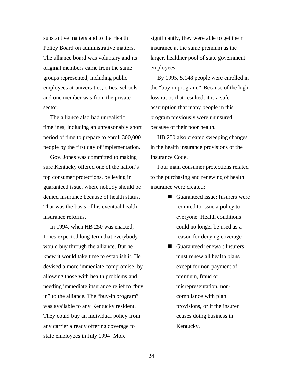substantive matters and to the Health Policy Board on administrative matters. The alliance board was voluntary and its original members came from the same groups represented, including public employees at universities, cities, schools and one member was from the private sector.

The alliance also had unrealistic timelines, including an unreasonably short period of time to prepare to enroll 300,000 people by the first day of implementation.

Gov. Jones was committed to making sure Kentucky offered one of the nation's top consumer protections, believing in guaranteed issue, where nobody should be denied insurance because of health status. That was the basis of his eventual health insurance reforms.

In 1994, when HB 250 was enacted, Jones expected long-term that everybody would buy through the alliance. But he knew it would take time to establish it. He devised a more immediate compromise, by allowing those with health problems and needing immediate insurance relief to "buy in" to the alliance. The "buy-in program" was available to any Kentucky resident. They could buy an individual policy from any carrier already offering coverage to state employees in July 1994. More

significantly, they were able to get their insurance at the same premium as the larger, healthier pool of state government employees.

By 1995, 5,148 people were enrolled in the "buy-in program." Because of the high loss ratios that resulted, it is a safe assumption that many people in this program previously were uninsured because of their poor health.

HB 250 also created sweeping changes in the health insurance provisions of the Insurance Code.

Four main consumer protections related to the purchasing and renewing of health insurance were created:

- $\blacksquare$  Guaranteed issue: Insurers were required to issue a policy to everyone. Health conditions could no longer be used as a reason for denying coverage
- Guaranteed renewal: Insurers must renew all health plans except for non-payment of premium, fraud or misrepresentation, noncompliance with plan provisions, or if the insurer ceases doing business in Kentucky.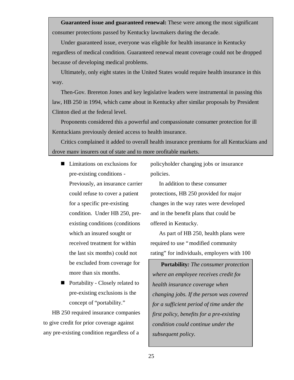**Guaranteed issue and guaranteed renewal:** These were among the most significant consumer protections passed by Kentucky lawmakers during the decade.

Under guaranteed issue, everyone was eligible for health insurance in Kentucky regardless of medical condition. Guaranteed renewal meant coverage could not be dropped because of developing medical problems.

Ultimately, only eight states in the United States would require health insurance in this way.

Then-Gov. Brereton Jones and key legislative leaders were instrumental in passing this law, HB 250 in 1994, which came about in Kentucky after similar proposals by President Clinton died at the federal level.

Proponents considered this a powerful and compassionate consumer protection for ill Kentuckians previously denied access to health insurance.

Critics complained it added to overall health insurance premiums for all Kentuckians and drove many insurers out of state and to more profitable markets.

- $\blacksquare$  Limitations on exclusions for pre-existing conditions - Previously, an insurance carrier could refuse to cover a patient for a specific pre-existing condition. Under HB 250, preexisting conditions (conditions which an insured sought or received treatment for within the last six months) could not be excluded from coverage for more than six months.
- $\blacksquare$  Portability Closely related to pre-existing exclusions is the concept of "portability."

HB 250 required insurance companies to give credit for prior coverage against any pre-existing condition regardless of a

policyholder changing jobs or insurance policies.

In addition to these consumer protections, HB 250 provided for major changes in the way rates were developed and in the benefit plans that could be offered in Kentucky.

As part of HB 250, health plans were required to use "modified community rating" for individuals, employers with 100

**Portability***: The consumer protection where an employee receives credit for health insurance coverage when changing jobs. If the person was covered for a sufficient period of time under the first policy, benefits for a pre-existing condition could continue under the subsequent policy.*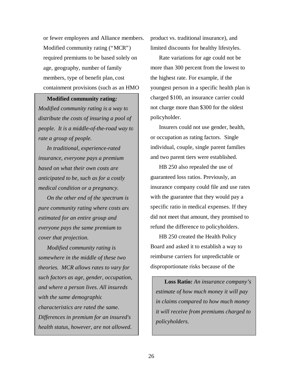or fewer employees and Alliance members. Modified community rating ("MCR") required premiums to be based solely on age, geography, number of family members, type of benefit plan, cost containment provisions (such as an HMO

#### **Modified community rating***:*

*Modified community rating is a way to distribute the costs of insuring a pool of people. It is a middle-of-the-road way to rate a group of people.*

*In traditional, experience-rated insurance, everyone pays a premium based on what their own costs are anticipated to be, such as for a costly medical condition or a pregnancy.*

*On the other end of the spectrum is pure community rating where costs are estimated for an entire group and everyone pays the same premium to cover that projection.*

*Modified community rating is somewhere in the middle of these two theories. MCR allows rates to vary for such factors as age, gender, occupation, and where a person lives. All insureds with the same demographic characteristics are rated the same. Differences in premium for an insured's health status, however, are not allowed.*

product vs. traditional insurance), and limited discounts for healthy lifestyles.

Rate variations for age could not be more than 300 percent from the lowest to the highest rate. For example, if the youngest person in a specific health plan is charged \$100, an insurance carrier could not charge more than \$300 for the oldest policyholder.

Insurers could not use gender, health, or occupation as rating factors. Single individual, couple, single parent families and two parent tiers were established.

HB 250 also repealed the use of guaranteed loss ratios. Previously, an insurance company could file and use rates with the guarantee that they would pay a specific ratio in medical expenses. If they did not meet that amount, they promised to refund the difference to policyholders.

HB 250 created the Health Policy Board and asked it to establish a way to reimburse carriers for unpredictable or disproportionate risks because of the

**Loss Ratio***: An insurance company's estimate of how much money it will pay in claims compared to how much money it will receive from premiums charged to policyholders.*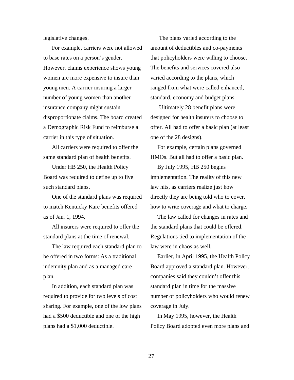legislative changes.

For example, carriers were not allowed to base rates on a person's gender. However, claims experience shows young women are more expensive to insure than young men. A carrier insuring a larger number of young women than another insurance company might sustain disproportionate claims. The board created a Demographic Risk Fund to reimburse a carrier in this type of situation.

All carriers were required to offer the same standard plan of health benefits.

Under HB 250, the Health Policy Board was required to define up to five such standard plans.

One of the standard plans was required to match Kentucky Kare benefits offered as of Jan. 1, 1994.

All insurers were required to offer the standard plans at the time of renewal.

The law required each standard plan to be offered in two forms: As a traditional indemnity plan and as a managed care plan.

In addition, each standard plan was required to provide for two levels of cost sharing. For example, one of the low plans had a \$500 deductible and one of the high plans had a \$1,000 deductible.

The plans varied according to the amount of deductibles and co-payments that policyholders were willing to choose. The benefits and services covered also varied according to the plans, which ranged from what were called enhanced, standard, economy and budget plans.

Ultimately 28 benefit plans were designed for health insurers to choose to offer. All had to offer a basic plan (at least one of the 28 designs).

For example, certain plans governed HMOs. But all had to offer a basic plan. By July 1995, HB 250 begins implementation. The reality of this new law hits, as carriers realize just how directly they are being told who to cover, how to write coverage and what to charge.

The law called for changes in rates and the standard plans that could be offered. Regulations tied to implementation of the law were in chaos as well.

Earlier, in April 1995, the Health Policy Board approved a standard plan. However, companies said they couldn't offer this standard plan in time for the massive number of policyholders who would renew coverage in July.

In May 1995, however, the Health Policy Board adopted even more plans and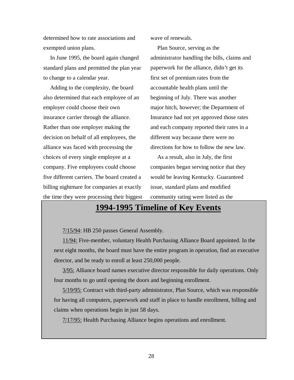determined how to rate associations and exempted union plans.

In June 1995, the board again changed standard plans and permitted the plan year to change to a calendar year.

Adding to the complexity, the board also determined that each employee of an employer could choose their own insurance carrier through the alliance. Rather than one employer making the decision on behalf of all employees, the alliance was faced with processing the choices of every single employee at a company. Five employees could choose five different carriers. The board created a billing nightmare for companies at exactly the time they were processing their biggest wave of renewals.

Plan Source, serving as the administrator handling the bills, claims and paperwork for the alliance, didn't get its first set of premium rates from the accountable health plans until the beginning of July. There was another major hitch, however; the Department of Insurance had not yet approved those rates and each company reported their rates in a different way because there were no directions for how to follow the new law.

As a result, also in July, the first companies began serving notice that they would be leaving Kentucky. Guaranteed issue, standard plans and modified community rating were listed as the

### **1994-1995 Timeline of Key Events**

7/15/94: HB 250 passes General Assembly.

11/94: Five-member, voluntary Health Purchasing Alliance Board appointed. In the next eight months, the board must have the entire program in operation, find an executive director, and be ready to enroll at least 250,000 people.

3/95: Alliance board names executive director responsible for daily operations. Only four months to go until opening the doors and beginning enrollment.

5/19/95: Contract with third-party administrator, Plan Source, which was responsible for having all computers, paperwork and staff in place to handle enrollment, billing and claims when operations begin in just 58 days.

7/17/95: Health Purchasing Alliance begins operations and enrollment.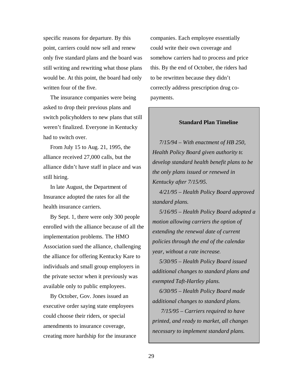specific reasons for departure. By this point, carriers could now sell and renew only five standard plans and the board was still writing and rewriting what those plans would be. At this point, the board had only written four of the five.

The insurance companies were being asked to drop their previous plans and switch policyholders to new plans that still weren't finalized. Everyone in Kentucky had to switch over.

From July 15 to Aug. 21, 1995, the alliance received 27,000 calls, but the alliance didn't have staff in place and was still hiring.

In late August, the Department of Insurance adopted the rates for all the health insurance carriers.

By Sept. 1, there were only 300 people enrolled with the alliance because of all the implementation problems. The HMO Association sued the alliance, challenging the alliance for offering Kentucky Kare to individuals and small group employers in the private sector when it previously was available only to public employees.

By October, Gov. Jones issued an executive order saying state employees could choose their riders, or special amendments to insurance coverage, creating more hardship for the insurance companies. Each employee essentially could write their own coverage and somehow carriers had to process and price this. By the end of October, the riders had to be rewritten because they didn't correctly address prescription drug copayments.

#### **Standard Plan Timeline**

*7/15/94 – With enactment of HB 250, Health Policy Board given authority to develop standard health benefit plans to be the only plans issued or renewed in Kentucky after 7/15/95.*

*4/21/95 – Health Policy Board approved standard plans.*

*5/16/95 – Health Policy Board adopted a motion allowing carriers the option of extending the renewal date of current policies through the end of the calendar year, without a rate increase.*

*5/30/95 – Health Policy Board issued additional changes to standard plans and exempted Taft-Hartley plans.*

*6/30/95 – Health Policy Board made additional changes to standard plans.*

*7/15/95 – Carriers required to have printed, and ready to market, all changes necessary to implement standard plans.*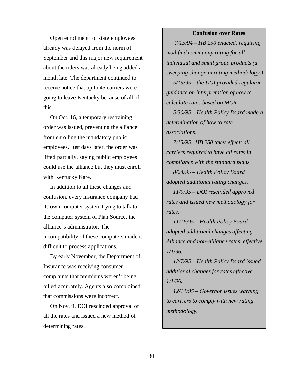#### **Confusion over Rates**

Open enrollment for state employees already was delayed from the norm of September and this major new requirement about the riders was already being added a month late. The department continued to receive notice that up to 45 carriers were going to leave Kentucky because of all of this.

On Oct. 16, a temporary restraining order was issued, preventing the alliance from enrolling the mandatory public employees. Just days later, the order was lifted partially, saying public employees could use the alliance but they must enroll with Kentucky Kare.

In addition to all these changes and confusion, every insurance company had its own computer system trying to talk to the computer system of Plan Source, the alliance's administrator. The incompatibility of these computers made it difficult to process applications.

By early November, the Department of Insurance was receiving consumer complaints that premiums weren't being billed accurately. Agents also complained that commissions were incorrect.

On Nov. 9, DOI rescinded approval of all the rates and issued a new method of determining rates.

*7/15/94 – HB 250 enacted, requiring modified community rating for all individual and small group products (a sweeping change in rating methodology.)*

*5/19/95 – the DOI provided regulator guidance on interpretation of how to calculate rates based on MCR*

*5/30/95 – Health Policy Board made a determination of how to rate associations.*

*7/15/95 –HB 250 takes effect; all carriers required to have all rates in compliance with the standard plans.*

*8/24/95 – Health Policy Board adopted additional rating changes.*

*11/9/95 – DOI rescinded approved rates and issued new methodology for rates.*

*11/16/95 – Health Policy Board adopted additional changes affecting Alliance and non-Alliance rates, effective 1/1/96.*

*12/7/95 – Health Policy Board issued additional changes for rates effective 1/1/96.*

*12/11/95 – Governor issues warning to carriers to comply with new rating methodology.*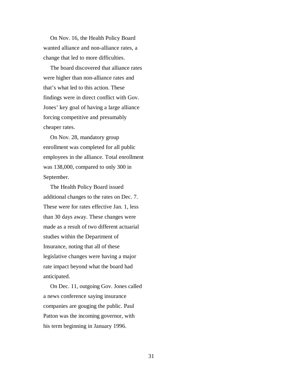On Nov. 16, the Health Policy Board wanted alliance and non-alliance rates, a change that led to more difficulties.

The board discovered that alliance rates were higher than non-alliance rates and that's what led to this action. These findings were in direct conflict with Gov. Jones' key goal of having a large alliance forcing competitive and presumably cheaper rates.

On Nov. 28, mandatory group enrollment was completed for all public employees in the alliance. Total enrollment was 138,000, compared to only 300 in September.

The Health Policy Board issued additional changes to the rates on Dec. 7. These were for rates effective Jan. 1, less than 30 days away. These changes were made as a result of two different actuarial studies within the Department of Insurance, noting that all of these legislative changes were having a major rate impact beyond what the board had anticipated.

On Dec. 11, outgoing Gov. Jones called a news conference saying insurance companies are gouging the public. Paul Patton was the incoming governor, with his term beginning in January 1996.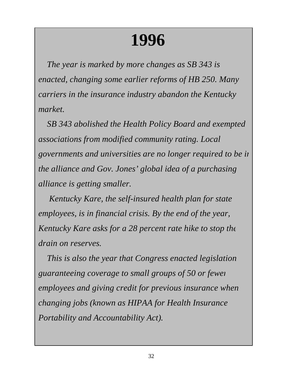# **1996**

*The year is marked by more changes as SB 343 is enacted, changing some earlier reforms of HB 250. Many carriers in the insurance industry abandon the Kentucky market.*

*SB 343 abolished the Health Policy Board and exempted associations from modified community rating. Local governments and universities are no longer required to be in the alliance and Gov. Jones' global idea of a purchasing alliance is getting smaller.*

 *Kentucky Kare, the self-insured health plan for state employees, is in financial crisis. By the end of the year, Kentucky Kare asks for a 28 percent rate hike to stop the drain on reserves.*

*This is also the year that Congress enacted legislation guaranteeing coverage to small groups of 50 or fewer employees and giving credit for previous insurance when changing jobs (known as HIPAA for Health Insurance Portability and Accountability Act).*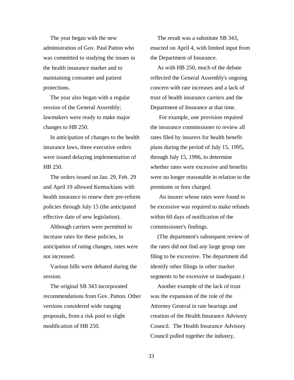The year began with the new administration of Gov. Paul Patton who was committed to studying the issues in the health insurance market and to maintaining consumer and patient protections.

The year also began with a regular session of the General Assembly; lawmakers were ready to make major changes to HB 250.

In anticipation of changes to the health insurance laws, three executive orders were issued delaying implementation of HB 250.

The orders issued on Jan. 29, Feb. 29 and April 19 allowed Kentuckians with health insurance to renew their pre-reform policies through July 15 (the anticipated effective date of new legislation).

Although carriers were permitted to increase rates for these policies, in anticipation of rating changes, rates were not increased.

Various bills were debated during the session.

The original SB 343 incorporated recommendations from Gov. Patton. Other versions considered wide ranging proposals, from a risk pool to slight modification of HB 250.

The result was a substitute SB 343, enacted on April 4, with limited input from the Department of Insurance.

As with HB 250, much of the debate reflected the General Assembly's ongoing concern with rate increases and a lack of trust of health insurance carriers and the Department of Insurance at that time.

For example, one provision required the insurance commissioner to review all rates filed by insurers for health benefit plans during the period of July 15, 1995, through July 15, 1996, to determine whether rates were excessive and benefits were no longer reasonable in relation to the premiums or fees charged.

An insurer whose rates were found to be excessive was required to make refunds within 60 days of notification of the commissioner's findings.

(The department's subsequent review of the rates did not find any large group rate filing to be excessive. The department did identify other filings in other market segments to be excessive or inadequate.)

Another example of the lack of trust was the expansion of the role of the Attorney General in rate hearings and creation of the Health Insurance Advisory Council. The Health Insurance Advisory Council pulled together the industry,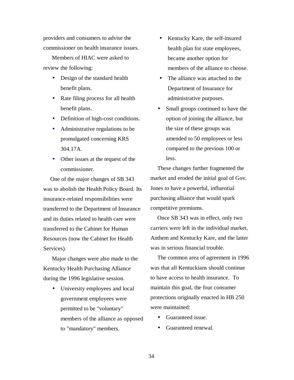providers and consumers to advise the commissioner on health insurance issues.

Members of HIAC were asked to review the following:

- Design of the standard health benefit plans.
- Rate filing process for all health benefit plans.
- Definition of high-cost conditions.
- Administrative regulations to be promulgated concerning KRS 304.17A.
- Other issues at the request of the commissioner.

One of the major changes of SB 343 was to abolish the Health Policy Board. Its insurance-related responsibilities were transferred to the Department of Insurance and its duties related to health care were transferred to the Cabinet for Human Resources (now the Cabinet for Health Services).

Major changes were also made to the Kentucky Health Purchasing Alliance during the 1996 legislative session.

• University employees and local government employees were permitted to be "voluntary" members of the alliance as opposed to "mandatory" members.

- Kentucky Kare, the self-insured health plan for state employees, became another option for members of the alliance to choose.
- The alliance was attached to the Department of Insurance for administrative purposes.
- Small groups continued to have the option of joining the alliance, but the size of these groups was amended to 50 employees or less compared to the previous 100 or less.

These changes further fragmented the market and eroded the initial goal of Gov. Jones to have a powerful, influential purchasing alliance that would spark competitive premiums.

Once SB 343 was in effect, only two carriers were left in the individual market, Anthem and Kentucky Kare, and the latter was in serious financial trouble.

The common area of agreement in 1996 was that all Kentuckians should continue to have access to health insurance. To maintain this goal, the four consumer protections originally enacted in HB 250 were maintained:

- Guaranteed issue.
- Guaranteed renewal.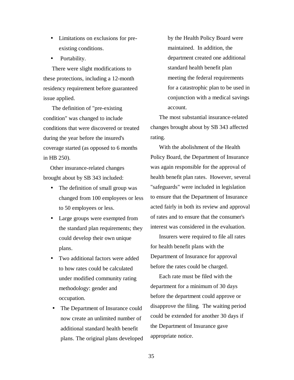- Limitations on exclusions for preexisting conditions.
- Portability.

There were slight modifications to these protections, including a 12-month residency requirement before guaranteed issue applied.

The definition of "pre-existing condition" was changed to include conditions that were discovered or treated during the year before the insured's coverage started (as opposed to 6 months in HB 250).

Other insurance-related changes brought about by SB 343 included:

- The definition of small group was changed from 100 employees or less to 50 employees or less.
- Large groups were exempted from the standard plan requirements; they could develop their own unique plans.
- Two additional factors were added to how rates could be calculated under modified community rating methodology: gender and occupation.
- The Department of Insurance could now create an unlimited number of additional standard health benefit plans. The original plans developed

by the Health Policy Board were maintained. In addition, the department created one additional standard health benefit plan meeting the federal requirements for a catastrophic plan to be used in conjunction with a medical savings account.

The most substantial insurance-related changes brought about by SB 343 affected rating.

With the abolishment of the Health Policy Board, the Department of Insurance was again responsible for the approval of health benefit plan rates. However, several "safeguards" were included in legislation to ensure that the Department of Insurance acted fairly in both its review and approval of rates and to ensure that the consumer's interest was considered in the evaluation.

Insurers were required to file all rates for health benefit plans with the Department of Insurance for approval before the rates could be charged.

Each rate must be filed with the department for a minimum of 30 days before the department could approve or disapprove the filing. The waiting period could be extended for another 30 days if the Department of Insurance gave appropriate notice.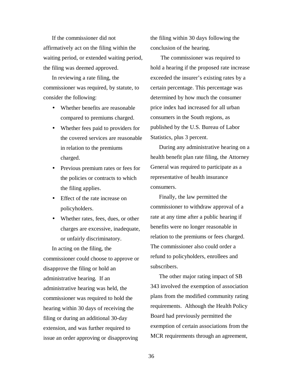If the commissioner did not affirmatively act on the filing within the waiting period, or extended waiting period, the filing was deemed approved.

In reviewing a rate filing, the commissioner was required, by statute, to consider the following:

- Whether benefits are reasonable compared to premiums charged.
- Whether fees paid to providers for the covered services are reasonable in relation to the premiums charged.
- Previous premium rates or fees for the policies or contracts to which the filing applies.
- Effect of the rate increase on policyholders.
- Whether rates, fees, dues, or other charges are excessive, inadequate, or unfairly discriminatory.

In acting on the filing, the commissioner could choose to approve or disapprove the filing or hold an administrative hearing. If an administrative hearing was held, the commissioner was required to hold the hearing within 30 days of receiving the filing or during an additional 30-day extension, and was further required to issue an order approving or disapproving

the filing within 30 days following the conclusion of the hearing.

 The commissioner was required to hold a hearing if the proposed rate increase exceeded the insurer's existing rates by a certain percentage. This percentage was determined by how much the consumer price index had increased for all urban consumers in the South regions, as published by the U.S. Bureau of Labor Statistics, plus 3 percent.

During any administrative hearing on a health benefit plan rate filing, the Attorney General was required to participate as a representative of health insurance consumers.

Finally, the law permitted the commissioner to withdraw approval of a rate at any time after a public hearing if benefits were no longer reasonable in relation to the premiums or fees charged. The commissioner also could order a refund to policyholders, enrollees and subscribers.

The other major rating impact of SB 343 involved the exemption of association plans from the modified community rating requirements. Although the Health Policy Board had previously permitted the exemption of certain associations from the MCR requirements through an agreement,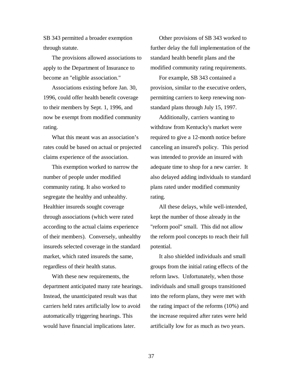SB 343 permitted a broader exemption through statute.

The provisions allowed associations to apply to the Department of Insurance to become an "eligible association."

Associations existing before Jan. 30, 1996, could offer health benefit coverage to their members by Sept. 1, 1996, and now be exempt from modified community rating.

What this meant was an association's rates could be based on actual or projected claims experience of the association.

This exemption worked to narrow the number of people under modified community rating. It also worked to segregate the healthy and unhealthy. Healthier insureds sought coverage through associations (which were rated according to the actual claims experience of their members). Conversely, unhealthy insureds selected coverage in the standard market, which rated insureds the same, regardless of their health status.

With these new requirements, the department anticipated many rate hearings. Instead, the unanticipated result was that carriers held rates artificially low to avoid automatically triggering hearings. This would have financial implications later.

Other provisions of SB 343 worked to further delay the full implementation of the standard health benefit plans and the modified community rating requirements.

For example, SB 343 contained a provision, similar to the executive orders, permitting carriers to keep renewing nonstandard plans through July 15, 1997.

Additionally, carriers wanting to withdraw from Kentucky's market were required to give a 12-month notice before canceling an insured's policy. This period was intended to provide an insured with adequate time to shop for a new carrier. It also delayed adding individuals to standard plans rated under modified community rating.

All these delays, while well-intended, kept the number of those already in the "reform pool" small. This did not allow the reform pool concepts to reach their full potential.

It also shielded individuals and small groups from the initial rating effects of the reform laws. Unfortunately, when those individuals and small groups transitioned into the reform plans, they were met with the rating impact of the reforms (10%) and the increase required after rates were held artificially low for as much as two years.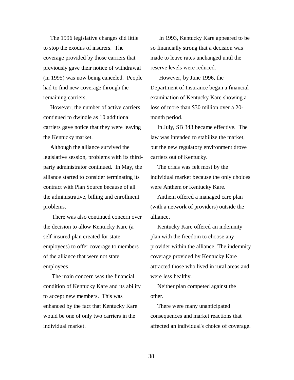The 1996 legislative changes did little to stop the exodus of insurers. The coverage provided by those carriers that previously gave their notice of withdrawal (in 1995) was now being canceled. People had to find new coverage through the remaining carriers.

However, the number of active carriers continued to dwindle as 10 additional carriers gave notice that they were leaving the Kentucky market.

Although the alliance survived the legislative session, problems with its thirdparty administrator continued. In May, the alliance started to consider terminating its contract with Plan Source because of all the administrative, billing and enrollment problems.

There was also continued concern over the decision to allow Kentucky Kare (a self-insured plan created for state employees) to offer coverage to members of the alliance that were not state employees.

The main concern was the financial condition of Kentucky Kare and its ability to accept new members. This was enhanced by the fact that Kentucky Kare would be one of only two carriers in the individual market.

In 1993, Kentucky Kare appeared to be so financially strong that a decision was made to leave rates unchanged until the reserve levels were reduced.

However, by June 1996, the Department of Insurance began a financial examination of Kentucky Kare showing a loss of more than \$30 million over a 20 month period.

In July, SB 343 became effective. The law was intended to stabilize the market, but the new regulatory environment drove carriers out of Kentucky.

The crisis was felt most by the individual market because the only choices were Anthem or Kentucky Kare.

Anthem offered a managed care plan (with a network of providers) outside the alliance.

Kentucky Kare offered an indemnity plan with the freedom to choose any provider within the alliance. The indemnity coverage provided by Kentucky Kare attracted those who lived in rural areas and were less healthy.

Neither plan competed against the other.

There were many unanticipated consequences and market reactions that affected an individual's choice of coverage.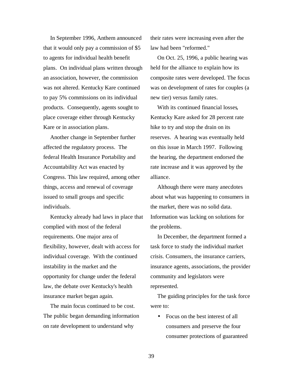In September 1996, Anthem announced that it would only pay a commission of \$5 to agents for individual health benefit plans. On individual plans written through an association, however, the commission was not altered. Kentucky Kare continued to pay 5% commissions on its individual products. Consequently, agents sought to place coverage either through Kentucky Kare or in association plans.

Another change in September further affected the regulatory process. The federal Health Insurance Portability and Accountability Act was enacted by Congress. This law required, among other things, access and renewal of coverage issued to small groups and specific individuals.

Kentucky already had laws in place that complied with most of the federal requirements. One major area of flexibility, however, dealt with access for individual coverage. With the continued instability in the market and the opportunity for change under the federal law, the debate over Kentucky's health insurance market began again.

The main focus continued to be cost. The public began demanding information on rate development to understand why

their rates were increasing even after the law had been "reformed."

On Oct. 25, 1996, a public hearing was held for the alliance to explain how its composite rates were developed. The focus was on development of rates for couples (a new tier) versus family rates.

With its continued financial losses, Kentucky Kare asked for 28 percent rate hike to try and stop the drain on its reserves. A hearing was eventually held on this issue in March 1997. Following the hearing, the department endorsed the rate increase and it was approved by the alliance.

Although there were many anecdotes about what was happening to consumers in the market, there was no solid data. Information was lacking on solutions for the problems.

In December, the department formed a task force to study the individual market crisis. Consumers, the insurance carriers, insurance agents, associations, the provider community and legislators were represented.

The guiding principles for the task force were to:

• Focus on the best interest of all consumers and preserve the four consumer protections of guaranteed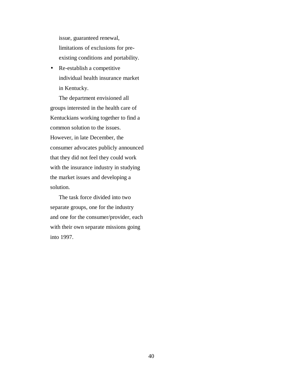issue, guaranteed renewal, limitations of exclusions for preexisting conditions and portability.

• Re-establish a competitive individual health insurance market in Kentucky.

The department envisioned all groups interested in the health care of Kentuckians working together to find a common solution to the issues. However, in late December, the consumer advocates publicly announced that they did not feel they could work with the insurance industry in studying the market issues and developing a solution.

The task force divided into two separate groups, one for the industry and one for the consumer/provider, each with their own separate missions going into 1997.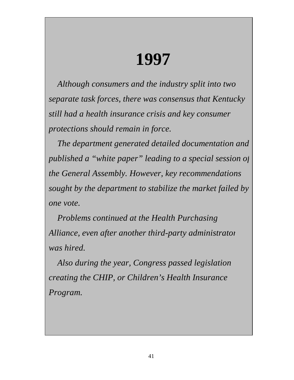## **1997**

*Although consumers and the industry split into two separate task forces, there was consensus that Kentucky still had a health insurance crisis and key consumer protections should remain in force.*

*The department generated detailed documentation and published a "white paper" leading to a special session of the General Assembly. However, key recommendations sought by the department to stabilize the market failed by one vote.*

*Problems continued at the Health Purchasing Alliance, even after another third-party administrator was hired.*

*Also during the year, Congress passed legislation creating the CHIP, or Children's Health Insurance Program.*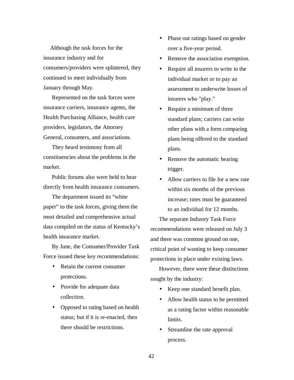Although the task forces for the insurance industry and for consumers/providers were splintered, they continued to meet individually from January through May.

Represented on the task forces were insurance carriers, insurance agents, the Health Purchasing Alliance, health care providers, legislators, the Attorney General, consumers, and associations.

They heard testimony from all constituencies about the problems in the market.

Public forums also were held to hear directly from health insurance consumers.

The department issued its "white paper" to the task forces, giving them the most detailed and comprehensive actual data compiled on the status of Kentucky's health insurance market.

By June, the Consumer/Provider Task Force issued these key recommendations:

- Retain the current consumer protections.
- Provide for adequate data collection.
- Opposed to rating based on health status; but if it is re-enacted, then there should be restrictions.
- Phase out ratings based on gender over a five-year period.
- Remove the association exemption.
- Require all insurers to write in the individual market or to pay an assessment to underwrite losses of insurers who "play."
- Require a minimum of three standard plans; carriers can write other plans with a form comparing plans being offered to the standard plans.
- Remove the automatic hearing trigger.
- Allow carriers to file for a new rate within six months of the previous increase; rates must be guaranteed to an individual for 12 months.

The separate Industry Task Force recommendations were released on July 3 and there was common ground on one, critical point of wanting to keep consumer protections in place under existing laws.

However, there were these distinctions sought by the industry:

- Keep one standard benefit plan.
- Allow health status to be permitted as a rating factor within reasonable limits.
- Streamline the rate approval process.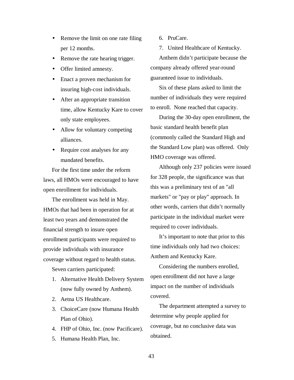- Remove the limit on one rate filing per 12 months.
- Remove the rate hearing trigger.
- Offer limited amnesty.
- Enact a proven mechanism for insuring high-cost individuals.
- After an appropriate transition time, allow Kentucky Kare to cover only state employees.
- Allow for voluntary competing alliances.
- Require cost analyses for any mandated benefits.

For the first time under the reform laws, all HMOs were encouraged to have open enrollment for individuals.

The enrollment was held in May. HMOs that had been in operation for at least two years and demonstrated the financial strength to insure open enrollment participants were required to provide individuals with insurance coverage without regard to health status.

Seven carriers participated:

- 1. Alternative Health Delivery System (now fully owned by Anthem).
- 2. Aetna US Healthcare.
- 3. ChoiceCare (now Humana Health Plan of Ohio).
- 4. FHP of Ohio, Inc. (now Pacificare).
- 5. Humana Health Plan, Inc.

6. PruCare.

7. United Healthcare of Kentucky.

Anthem didn't participate because the company already offered year-round guaranteed issue to individuals.

Six of these plans asked to limit the number of individuals they were required to enroll. None reached that capacity.

During the 30-day open enrollment, the basic standard health benefit plan (commonly called the Standard High and the Standard Low plan) was offered. Only HMO coverage was offered.

Although only 237 policies were issued for 328 people, the significance was that this was a preliminary test of an "all markets" or "pay or play" approach. In other words, carriers that didn't normally participate in the individual market were required to cover individuals.

It's important to note that prior to this time individuals only had two choices: Anthem and Kentucky Kare.

Considering the numbers enrolled, open enrollment did not have a large impact on the number of individuals covered.

The department attempted a survey to determine why people applied for coverage, but no conclusive data was obtained.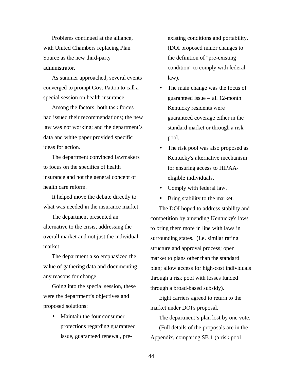Problems continued at the alliance, with United Chambers replacing Plan Source as the new third-party administrator.

As summer approached, several events converged to prompt Gov. Patton to call a special session on health insurance.

Among the factors: both task forces had issued their recommendations; the new law was not working; and the department's data and white paper provided specific ideas for action.

The department convinced lawmakers to focus on the specifics of health insurance and not the general concept of health care reform.

It helped move the debate directly to what was needed in the insurance market.

The department presented an alternative to the crisis, addressing the overall market and not just the individual market.

The department also emphasized the value of gathering data and documenting any reasons for change.

Going into the special session, these were the department's objectives and proposed solutions:

• Maintain the four consumer protections regarding guaranteed issue, guaranteed renewal, preexisting conditions and portability. (DOI proposed minor changes to the definition of "pre-existing condition" to comply with federal law).

- The main change was the focus of guaranteed issue – all 12-month Kentucky residents were guaranteed coverage either in the standard market or through a risk pool.
- The risk pool was also proposed as Kentucky's alternative mechanism for ensuring access to HIPAAeligible individuals.
- Comply with federal law.
- Bring stability to the market.

The DOI hoped to address stability and competition by amending Kentucky's laws to bring them more in line with laws in surrounding states. (i.e. similar rating structure and approval process; open market to plans other than the standard plan; allow access for high-cost individuals through a risk pool with losses funded through a broad-based subsidy).

Eight carriers agreed to return to the market under DOI's proposal.

The department's plan lost by one vote. (Full details of the proposals are in the Appendix, comparing SB 1 (a risk pool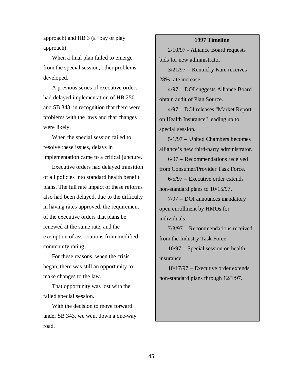approach) and HB 3 (a "pay or play" approach).

When a final plan failed to emerge from the special session, other problems developed.

A previous series of executive orders had delayed implementation of HB 250 and SB 343, in recognition that there were problems with the laws and that changes were likely.

When the special session failed to resolve these issues, delays in implementation came to a critical juncture.

Executive orders had delayed transition of all policies into standard health benefit plans. The full rate impact of these reforms also had been delayed, due to the difficulty in having rates approved, the requirement of the executive orders that plans be renewed at the same rate, and the exemption of associations from modified community rating.

For these reasons, when the crisis began, there was still an opportunity to make changes to the law.

That opportunity was lost with the failed special session.

With the decision to move forward under SB 343, we went down a one-way road.

#### **1997 Timeline**

2/10/97 - Alliance Board requests bids for new administrator.

3/21/97 – Kentucky Kare receives 28% rate increase.

4/97 – DOI suggests Alliance Board obtain audit of Plan Source.

4/97 – DOI releases "Market Report on Health Insurance" leading up to special session.

5/1/97 – United Chambers becomes alliance's new third-party administrator.

6/97 – Recommendations received from Consumer/Provider Task Force.

6/5/97 – Executive order extends non-standard plans to 10/15/97.

7/97 – DOI announces mandatory open enrollment by HMOs for individuals.

7/3/97 – Recommendations received from the Industry Task Force.

10/97 – Special session on health insurance.

10/17/97 – Executive order extends non-standard plans through 12/1/97.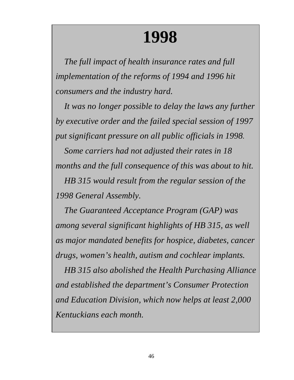## **1998**

*The full impact of health insurance rates and full implementation of the reforms of 1994 and 1996 hit consumers and the industry hard.*

*It was no longer possible to delay the laws any further by executive order and the failed special session of 1997 put significant pressure on all public officials in 1998.*

*Some carriers had not adjusted their rates in 18 months and the full consequence of this was about to hit. HB 315 would result from the regular session of the 1998 General Assembly.*

*The Guaranteed Acceptance Program (GAP) was among several significant highlights of HB 315, as well as major mandated benefits for hospice, diabetes, cancer drugs, women's health, autism and cochlear implants.*

*HB 315 also abolished the Health Purchasing Alliance and established the department's Consumer Protection and Education Division, which now helps at least 2,000 Kentuckians each month.*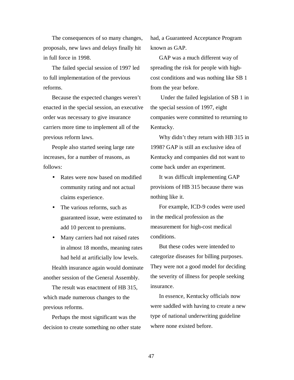The consequences of so many changes, proposals, new laws and delays finally hit in full force in 1998.

The failed special session of 1997 led to full implementation of the previous reforms.

Because the expected changes weren't enacted in the special session, an executive order was necessary to give insurance carriers more time to implement all of the previous reform laws.

People also started seeing large rate increases, for a number of reasons, as follows:

- Rates were now based on modified community rating and not actual claims experience.
- The various reforms, such as guaranteed issue, were estimated to add 10 percent to premiums.
- Many carriers had not raised rates in almost 18 months, meaning rates had held at artificially low levels.

Health insurance again would dominate another session of the General Assembly.

The result was enactment of HB 315, which made numerous changes to the previous reforms.

Perhaps the most significant was the decision to create something no other state had, a Guaranteed Acceptance Program known as GAP.

GAP was a much different way of spreading the risk for people with highcost conditions and was nothing like SB 1 from the year before.

 Under the failed legislation of SB 1 in the special session of 1997, eight companies were committed to returning to Kentucky.

Why didn't they return with HB 315 in 1998? GAP is still an exclusive idea of Kentucky and companies did not want to come back under an experiment.

It was difficult implementing GAP provisions of HB 315 because there was nothing like it.

For example, ICD-9 codes were used in the medical profession as the measurement for high-cost medical conditions.

But these codes were intended to categorize diseases for billing purposes. They were not a good model for deciding the severity of illness for people seeking insurance.

In essence, Kentucky officials now were saddled with having to create a new type of national underwriting guideline where none existed before.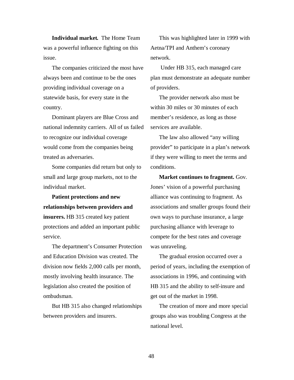**Individual market.** The Home Team was a powerful influence fighting on this issue.

The companies criticized the most have always been and continue to be the ones providing individual coverage on a statewide basis, for every state in the country.

Dominant players are Blue Cross and national indemnity carriers. All of us failed to recognize our individual coverage would come from the companies being treated as adversaries.

Some companies did return but only to small and large group markets, not to the individual market.

**Patient protections and new relationships between providers and insurers.** HB 315 created key patient protections and added an important public service.

The department's Consumer Protection and Education Division was created. The division now fields 2,000 calls per month, mostly involving health insurance. The legislation also created the position of ombudsman.

But HB 315 also changed relationships between providers and insurers.

This was highlighted later in 1999 with Aetna/TPI and Anthem's coronary network.

 Under HB 315, each managed care plan must demonstrate an adequate number of providers.

The provider network also must be within 30 miles or 30 minutes of each member's residence, as long as those services are available.

The law also allowed "any willing provider" to participate in a plan's network if they were willing to meet the terms and conditions.

**Market continues to fragment.** Gov. Jones' vision of a powerful purchasing alliance was continuing to fragment. As associations and smaller groups found their own ways to purchase insurance, a large purchasing alliance with leverage to compete for the best rates and coverage was unraveling.

The gradual erosion occurred over a period of years, including the exemption of associations in 1996, and continuing with HB 315 and the ability to self-insure and get out of the market in 1998.

The creation of more and more special groups also was troubling Congress at the national level.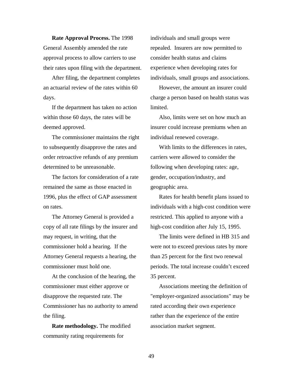**Rate Approval Process.** The 1998 General Assembly amended the rate approval process to allow carriers to use their rates upon filing with the department.

After filing, the department completes an actuarial review of the rates within 60 days.

If the department has taken no action within those 60 days, the rates will be deemed approved.

The commissioner maintains the right to subsequently disapprove the rates and order retroactive refunds of any premium determined to be unreasonable.

The factors for consideration of a rate remained the same as those enacted in 1996, plus the effect of GAP assessment on rates.

The Attorney General is provided a copy of all rate filings by the insurer and may request, in writing, that the commissioner hold a hearing. If the Attorney General requests a hearing, the commissioner must hold one.

At the conclusion of the hearing, the commissioner must either approve or disapprove the requested rate. The Commissioner has no authority to amend the filing.

**Rate methodology.** The modified community rating requirements for

individuals and small groups were repealed. Insurers are now permitted to consider health status and claims experience when developing rates for individuals, small groups and associations.

However, the amount an insurer could charge a person based on health status was limited.

Also, limits were set on how much an insurer could increase premiums when an individual renewed coverage.

With limits to the differences in rates, carriers were allowed to consider the following when developing rates: age, gender, occupation/industry, and geographic area.

Rates for health benefit plans issued to individuals with a high-cost condition were restricted. This applied to anyone with a high-cost condition after July 15, 1995.

The limits were defined in HB 315 and were not to exceed previous rates by more than 25 percent for the first two renewal periods. The total increase couldn't exceed 35 percent.

Associations meeting the definition of "employer-organized associations" may be rated according their own experience rather than the experience of the entire association market segment.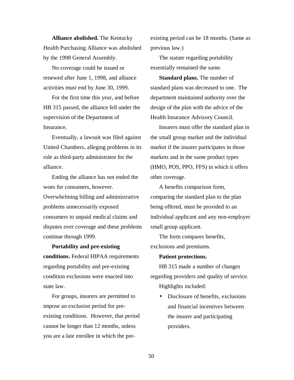**Alliance abolished.** The Kentucky Health Purchasing Alliance was abolished by the 1998 General Assembly.

No coverage could be issued or renewed after June 1, 1998, and alliance activities must end by June 30, 1999.

For the first time this year, and before HB 315 passed, the alliance fell under the supervision of the Department of Insurance.

Eventually, a lawsuit was filed against United Chambers, alleging problems in its role as third-party administrator for the alliance.

Ending the alliance has not ended the woes for consumers, however. Overwhelming billing and administrative problems unnecessarily exposed consumers to unpaid medical claims and disputes over coverage and these problems continue through 1999.

**Portability and pre-existing conditions.** Federal HIPAA requirements regarding portability and pre-existing condition exclusions were enacted into state law.

For groups, insurers are permitted to impose an exclusion period for preexisting conditions. However, that period cannot be longer than 12 months, unless you are a late enrollee in which the preexisting period can be 18 months. (Same as previous law.)

The statute regarding portability essentially remained the same.

**Standard plans.** The number of standard plans was decreased to one. The department maintained authority over the design of the plan with the advice of the Health Insurance Advisory Council.

Insurers must offer the standard plan in the small group market and the individual market if the insurer participates in those markets and in the same product types (HMO, POS, PPO, FFS) in which it offers other coverage.

A benefits comparison form, comparing the standard plan to the plan being offered, must be provided to an individual applicant and any non-employer small group applicant.

The form compares benefits, exclusions and premiums.

#### **Patient protections.**

HB 315 made a number of changes regarding providers and quality of service. Highlights included:

> • Disclosure of benefits, exclusions and financial incentives between the insurer and participating providers.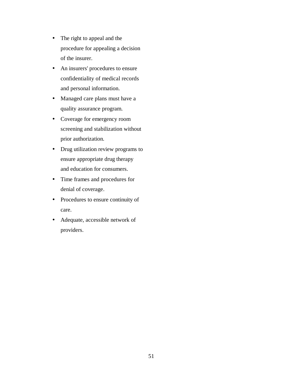- The right to appeal and the procedure for appealing a decision of the insurer.
- An insurers' procedures to ensure confidentiality of medical records and personal information.
- Managed care plans must have a quality assurance program.
- Coverage for emergency room screening and stabilization without prior authorization.
- Drug utilization review programs to ensure appropriate drug therapy and education for consumers.
- Time frames and procedures for denial of coverage.
- Procedures to ensure continuity of care.
- Adequate, accessible network of providers.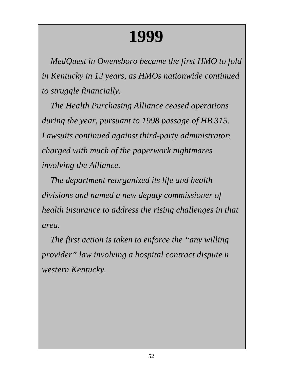# **1999**

*MedQuest in Owensboro became the first HMO to fold in Kentucky in 12 years, as HMOs nationwide continued to struggle financially.*

*The Health Purchasing Alliance ceased operations during the year, pursuant to 1998 passage of HB 315. Lawsuits continued against third-party administrators charged with much of the paperwork nightmares involving the Alliance.*

*The department reorganized its life and health divisions and named a new deputy commissioner of health insurance to address the rising challenges in that area.*

*The first action is taken to enforce the "any willing provider" law involving a hospital contract dispute in western Kentucky.*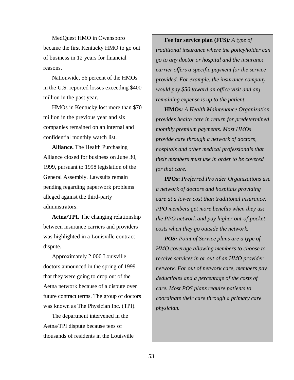MedQuest HMO in Owensboro became the first Kentucky HMO to go out of business in 12 years for financial reasons.

Nationwide, 56 percent of the HMOs in the U.S. reported losses exceeding \$400 million in the past year.

HMOs in Kentucky lost more than \$70 million in the previous year and six companies remained on an internal and confidential monthly watch list.

**Alliance.** The Health Purchasing Alliance closed for business on June 30, 1999, pursuant to 1998 legislation of the General Assembly. Lawsuits remain pending regarding paperwork problems alleged against the third-party administrators.

**Aetna/TPI.** The changing relationship between insurance carriers and providers was highlighted in a Louisville contract dispute.

Approximately 2,000 Louisville doctors announced in the spring of 1999 that they were going to drop out of the Aetna network because of a dispute over future contract terms. The group of doctors was known as The Physician Inc. (TPI).

The department intervened in the Aetna/TPI dispute because tens of thousands of residents in the Louisville

**Fee for service plan (FFS)***: A type of traditional insurance where the policyholder can go to any doctor or hospital and the insurance carrier offers a specific payment for the service provided. For example, the insurance company would pay \$50 toward an office visit and any remaining expense is up to the patient.*

**HMOs***: A Health Maintenance Organization provides health care in return for predetermined monthly premium payments. Most HMOs provide care through a network of doctors, hospitals and other medical professionals that their members must use in order to be covered for that care.*

**PPOs:** *Preferred Provider Organizations use a network of doctors and hospitals providing care at a lower cost than traditional insurance. PPO members get more benefits when they use the PPO network and pay higher out-of-pocket costs when they go outside the network.*

*POS: Point of Service plans are a type of HMO coverage allowing members to choose to receive services in or out of an HMO provider network. For out of network care, members pay deductibles and a percentage of the costs of care. Most POS plans require patients to coordinate their care through a primary care physician.*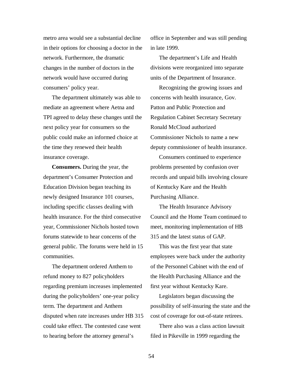metro area would see a substantial decline in their options for choosing a doctor in the network. Furthermore, the dramatic changes in the number of doctors in the network would have occurred during consumers' policy year.

The department ultimately was able to mediate an agreement where Aetna and TPI agreed to delay these changes until the next policy year for consumers so the public could make an informed choice at the time they renewed their health insurance coverage.

**Consumers.** During the year, the department's Consumer Protection and Education Division began teaching its newly designed Insurance 101 courses, including specific classes dealing with health insurance. For the third consecutive year, Commissioner Nichols hosted town forums statewide to hear concerns of the general public. The forums were held in 15 communities.

The department ordered Anthem to refund money to 827 policyholders regarding premium increases implemented during the policyholders' one-year policy term. The department and Anthem disputed when rate increases under HB 315 could take effect. The contested case went to hearing before the attorney general's

office in September and was still pending in late 1999.

The department's Life and Health divisions were reorganized into separate units of the Department of Insurance.

Recognizing the growing issues and concerns with health insurance, Gov. Patton and Public Protection and Regulation Cabinet Secretary Secretary Ronald McCloud authorized Commissioner Nichols to name a new deputy commissioner of health insurance.

Consumers continued to experience problems presented by confusion over records and unpaid bills involving closure of Kentucky Kare and the Health Purchasing Alliance.

The Health Insurance Advisory Council and the Home Team continued to meet, monitoring implementation of HB 315 and the latest status of GAP.

This was the first year that state employees were back under the authority of the Personnel Cabinet with the end of the Health Purchasing Alliance and the first year without Kentucky Kare.

Legislators began discussing the possibility of self-insuring the state and the cost of coverage for out-of-state retirees.

There also was a class action lawsuit filed in Pikeville in 1999 regarding the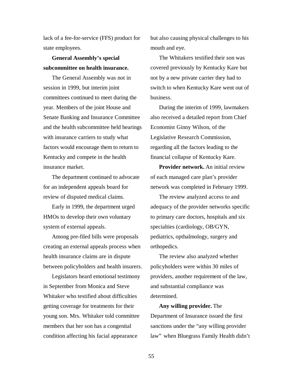lack of a fee-for-service (FFS) product for state employees.

**General Assembly's special subcommittee on health insurance.**

The General Assembly was not in session in 1999, but interim joint committees continued to meet during the year. Members of the joint House and Senate Banking and Insurance Committee and the health subcommittee held hearings with insurance carriers to study what factors would encourage them to return to Kentucky and compete in the health insurance market.

The department continued to advocate for an independent appeals board for review of disputed medical claims.

Early in 1999, the department urged HMOs to develop their own voluntary system of external appeals.

Among pre-filed bills were proposals creating an external appeals process when health insurance claims are in dispute between policyholders and health insurers.

Legislators heard emotional testimony in September from Monica and Steve Whitaker who testified about difficulties getting coverage for treatments for their young son. Mrs. Whitaker told committee members that her son has a congenital condition affecting his facial appearance

but also causing physical challenges to his mouth and eye.

The Whitakers testified their son was covered previously by Kentucky Kare but not by a new private carrier they had to switch to when Kentucky Kare went out of business.

During the interim of 1999, lawmakers also received a detailed report from Chief Economist Ginny Wilson, of the Legislative Research Commission, regarding all the factors leading to the financial collapse of Kentucky Kare.

**Provider network.** An initial review of each managed care plan's provider network was completed in February 1999.

The review analyzed access to and adequacy of the provider networks specific to primary care doctors, hospitals and six specialties (cardiology, OB/GYN, pediatrics, opthalmology, surgery and orthopedics.

The review also analyzed whether policyholders were within 30 miles of providers, another requirement of the law, and substantial compliance was determined.

**Any willing provider.** The Department of Insurance issued the first sanctions under the "any willing provider law" when Bluegrass Family Health didn't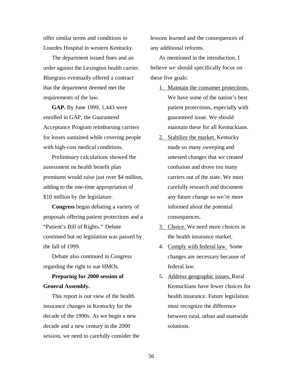offer similar terms and conditions to Lourdes Hospital in western Kentucky.

The department issued fines and an order against the Lexington health carrier. Bluegrass eventually offered a contract that the department deemed met the requirements of the law.

**GAP.** By June 1999, 1,443 were enrolled in GAP, the Guaranteed Acceptance Program reimbursing carriers for losses sustained while covering people with high-cost medical conditions.

Preliminary calculations showed the assessment on health benefit plan premiums would raise just over \$4 million, adding to the one-time appropriation of \$10 million by the legislature.

**Congress** began debating a variety of proposals offering patient protections and a "Patient's Bill of Rights." Debate continued but no legislation was passed by the fall of 1999.

Debate also continued in Congress regarding the right to sue HMOs.

### **Preparing for 2000 session of General Assembly.**

This report is our view of the health insurance changes in Kentucky for the decade of the 1990s. As we begin a new decade and a new century in the 2000 session, we need to carefully consider the lessons learned and the consequences of any additional reforms.

As mentioned in the introduction, I believe we should specifically focus on these five goals:

- 1. Maintain the consumer protections. We have some of the nation's best patient protections, especially with guaranteed issue. We should maintain these for all Kentuckians.
- 2. Stabilize the market. Kentucky made so many sweeping and untested changes that we created confusion and drove too many carriers out of the state. We must carefully research and document any future change so we're more informed about the potential consequences.
- 3. Choice. We need more choices in the health insurance market.
- 4. Comply with federal law. Some changes are necessary because of federal law.
- 5. Address geographic issues. Rural Kentuckians have fewer choices for health insurance. Future legislation must recognize the difference between rural, urban and statewide solutions.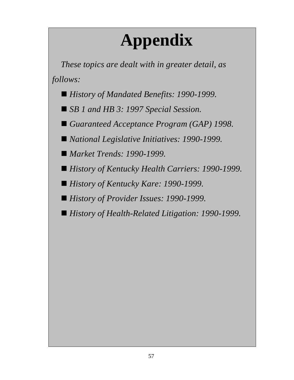# **Appendix**

*These topics are dealt with in greater detail, as follows:*

- *History of Mandated Benefits: 1990-1999.*
- *SB 1 and HB 3: 1997 Special Session.*
- *Guaranteed Acceptance Program (GAP) 1998.*
- *National Legislative Initiatives: 1990-1999.*
- *Market Trends: 1990-1999.*
- *History of Kentucky Health Carriers: 1990-1999.*
- *History of Kentucky Kare: 1990-1999.*
- *History of Provider Issues: 1990-1999.*
- *History of Health-Related Litigation: 1990-1999.*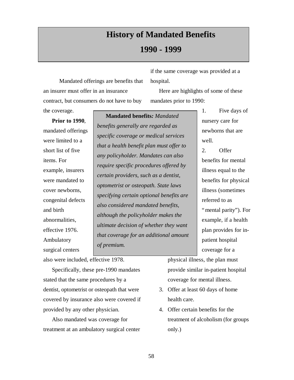### **History of Mandated Benefits**

#### **1990 - 1999**

 Mandated offerings are benefits that an insurer must offer in an insurance contract, but consumers do not have to buy

if the same coverage was provided at a hospital.

Here are highlights of some of these mandates prior to 1990:

**Prior to 1990**, mandated offerings were limited to a short list of five items. For example, insurers were mandated to cover newborns, congenital defects and birth abnormalities, effective 1976. Ambulatory

surgical centers

the coverage.

**Mandated benefits***: Mandated benefits generally are regarded as specific coverage or medical services that a health benefit plan must offer to any policyholder. Mandates can also require specific procedures offered by certain providers, such as a dentist, optometrist or osteopath. State laws specifying certain optional benefits are also considered mandated benefits, although the policyholder makes the ultimate decision of whether they want that coverage for an additional amount of premium.*

1. Five days of nursery care for newborns that are well.

2. Offer benefits for mental illness equal to the benefits for physical illness (sometimes referred to as "mental parity"). For example, if a health plan provides for inpatient hospital coverage for a

also were included, effective 1978.

Specifically, these pre-1990 mandates stated that the same procedures by a dentist, optometrist or osteopath that were covered by insurance also were covered if provided by any other physician.

Also mandated was coverage for treatment at an ambulatory surgical center physical illness, the plan must provide similar in-patient hospital coverage for mental illness.

- 3. Offer at least 60 days of home health care.
- 4. Offer certain benefits for the treatment of alcoholism (for groups only.)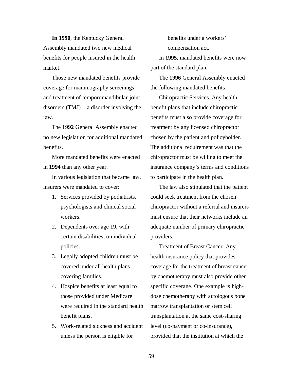**In 1990**, the Kentucky General Assembly mandated two new medical benefits for people insured in the health market.

Those new mandated benefits provide coverage for mammography screenings and treatment of temporomandibular joint disorders (TMJ) – a disorder involving the jaw.

The **1992** General Assembly enacted no new legislation for additional mandated benefits.

More mandated benefits were enacted in **1994** than any other year.

In various legislation that became law, insurers were mandated to cover:

- 1. Services provided by podiatrists, psychologists and clinical social workers.
- 2. Dependents over age 19, with certain disabilities, on individual policies.
- 3. Legally adopted children must be covered under all health plans covering families.
- 4. Hospice benefits at least equal to those provided under Medicare were required in the standard health benefit plans.
- 5. Work-related sickness and accident unless the person is eligible for

benefits under a workers' compensation act.

In **1995**, mandated benefits were now part of the standard plan.

The **1996** General Assembly enacted the following mandated benefits:

Chiropractic Services. Any health benefit plans that include chiropractic benefits must also provide coverage for treatment by any licensed chiropractor chosen by the patient and policyholder. The additional requirement was that the chiropractor must be willing to meet the insurance company's terms and conditions to participate in the health plan.

The law also stipulated that the patient could seek treatment from the chosen chiropractor without a referral and insurers must ensure that their networks include an adequate number of primary chiropractic providers.

Treatment of Breast Cancer. Any health insurance policy that provides coverage for the treatment of breast cancer by chemotherapy must also provide other specific coverage. One example is highdose chemotherapy with autologous bone marrow transplantation or stem cell transplantation at the same cost-sharing level (co-payment or co-insurance), provided that the institution at which the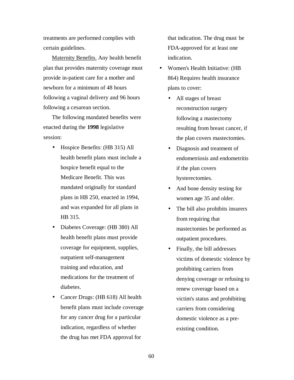treatments are performed complies with certain guidelines.

Maternity Benefits. Any health benefit plan that provides maternity coverage must provide in-patient care for a mother and newborn for a minimum of 48 hours following a vaginal delivery and 96 hours following a cesarean section.

The following mandated benefits were enacted during the **1998** legislative session:

- Hospice Benefits: (HB 315) All health benefit plans must include a hospice benefit equal to the Medicare Benefit. This was mandated originally for standard plans in HB 250, enacted in 1994, and was expanded for all plans in HB 315.
- Diabetes Coverage: (HB 380) All health benefit plans must provide coverage for equipment, supplies, outpatient self-management training and education, and medications for the treatment of diabetes.
- Cancer Drugs: (HB 618) All health benefit plans must include coverage for any cancer drug for a particular indication, regardless of whether the drug has met FDA approval for

that indication. The drug must be FDA-approved for at least one indication.

- Women's Health Initiative: (HB 864) Requires health insurance plans to cover:
	- All stages of breast reconstruction surgery following a mastectomy resulting from breast cancer, if the plan covers mastectomies.
	- Diagnosis and treatment of endometriosis and endometritis if the plan covers hysterectomies.
	- And bone density testing for women age 35 and older.
	- The bill also prohibits insurers from requiring that mastectomies be performed as outpatient procedures.
	- Finally, the bill addresses victims of domestic violence by prohibiting carriers from denying coverage or refusing to renew coverage based on a victim's status and prohibiting carriers from considering domestic violence as a preexisting condition.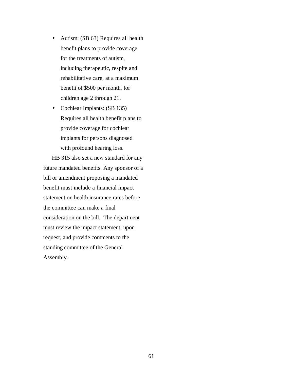- Autism: (SB 63) Requires all health benefit plans to provide coverage for the treatments of autism, including therapeutic, respite and rehabilitative care, at a maximum benefit of \$500 per month, for children age 2 through 21.
- Cochlear Implants: (SB 135) Requires all health benefit plans to provide coverage for cochlear implants for persons diagnosed with profound hearing loss.

HB 315 also set a new standard for any future mandated benefits. Any sponsor of a bill or amendment proposing a mandated benefit must include a financial impact statement on health insurance rates before the committee can make a final consideration on the bill. The department must review the impact statement, upon request, and provide comments to the standing committee of the General Assembly.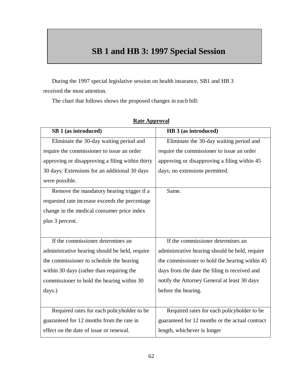### **SB 1 and HB 3: 1997 Special Session**

During the 1997 special legislative session on health insurance, SB1 and HB 3 received the most attention.

The chart that follows shows the proposed changes in each bill:

| SB 1 (as introduced)                             | HB 3 (as introduced)                            |
|--------------------------------------------------|-------------------------------------------------|
| Eliminate the 30-day waiting period and          | Eliminate the 30-day waiting period and         |
| require the commissioner to issue an order       | require the commissioner to issue an order      |
| approving or disapproving a filing within thirty | approving or disapproving a filing within 45    |
| 30 days; Extensions for an additional 30 days    | days; no extensions permitted.                  |
| were possible.                                   |                                                 |
| Remove the mandatory hearing trigger if a        | Same.                                           |
| requested rate increase exceeds the percentage   |                                                 |
| change in the medical consumer price index       |                                                 |
| plus 3 percent.                                  |                                                 |
|                                                  |                                                 |
| If the commissioner determines an                | If the commissioner determines an               |
| administrative hearing should be held, require   | administrative hearing should be held, require  |
| the commissioner to schedule the hearing         | the commissioner to hold the hearing within 45  |
| within 30 days (rather than requiring the        | days from the date the filing is received and   |
| commissioner to hold the hearing within 30       | notify the Attorney General at least 30 days    |
| days.)                                           | before the hearing.                             |
|                                                  |                                                 |
| Required rates for each policyholder to be       | Required rates for each policyholder to be      |
| guaranteed for 12 months from the rate in        | guaranteed for 12 months or the actual contract |
| effect on the date of issue or renewal.          | length, whichever is longer                     |

#### **Rate Approval**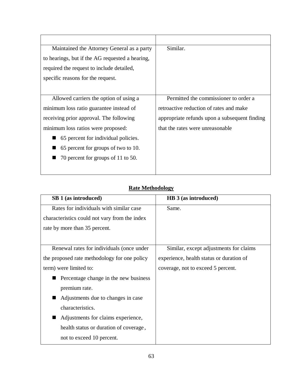| Maintained the Attorney General as a party      | Similar.                                      |
|-------------------------------------------------|-----------------------------------------------|
| to hearings, but if the AG requested a hearing, |                                               |
| required the request to include detailed,       |                                               |
| specific reasons for the request.               |                                               |
|                                                 |                                               |
| Allowed carriers the option of using a          | Permitted the commissioner to order a         |
| minimum loss ratio guarantee instead of         | retroactive reduction of rates and make       |
| receiving prior approval. The following         | appropriate refunds upon a subsequent finding |
| minimum loss ratios were proposed:              | that the rates were unreasonable              |
| 65 percent for individual policies.             |                                               |
| 65 percent for groups of two to 10.             |                                               |
| 70 percent for groups of 11 to 50.              |                                               |
|                                                 |                                               |

|--|

| SB 1 (as introduced)                          | HB 3 (as introduced)                     |
|-----------------------------------------------|------------------------------------------|
| Rates for individuals with similar case       | Same.                                    |
| characteristics could not vary from the index |                                          |
| rate by more than 35 percent.                 |                                          |
|                                               |                                          |
| Renewal rates for individuals (once under     | Similar, except adjustments for claims   |
| the proposed rate methodology for one policy  | experience, health status or duration of |
| term) were limited to:                        | coverage, not to exceed 5 percent.       |
| Percentage change in the new business         |                                          |
| premium rate.                                 |                                          |
| Adjustments due to changes in case            |                                          |
| characteristics.                              |                                          |
| Adjustments for claims experience,            |                                          |
| health status or duration of coverage,        |                                          |
| not to exceed 10 percent.                     |                                          |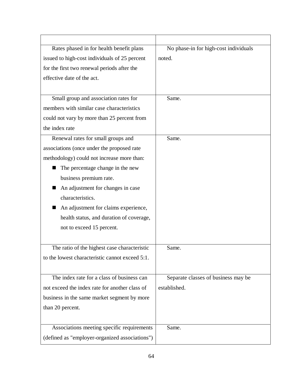| Rates phased in for health benefit plans        | No phase-in for high-cost individuals |
|-------------------------------------------------|---------------------------------------|
| issued to high-cost individuals of 25 percent   | noted.                                |
| for the first two renewal periods after the     |                                       |
| effective date of the act.                      |                                       |
|                                                 |                                       |
| Small group and association rates for           | Same.                                 |
| members with similar case characteristics       |                                       |
| could not vary by more than 25 percent from     |                                       |
| the index rate                                  |                                       |
| Renewal rates for small groups and              | Same.                                 |
| associations (once under the proposed rate      |                                       |
| methodology) could not increase more than:      |                                       |
| The percentage change in the new                |                                       |
| business premium rate.                          |                                       |
| An adjustment for changes in case               |                                       |
| characteristics.                                |                                       |
| An adjustment for claims experience,<br>■       |                                       |
| health status, and duration of coverage,        |                                       |
| not to exceed 15 percent.                       |                                       |
|                                                 |                                       |
| The ratio of the highest case characteristic    | Same.                                 |
| to the lowest characteristic cannot exceed 5:1. |                                       |
|                                                 |                                       |
| The index rate for a class of business can      | Separate classes of business may be   |
| not exceed the index rate for another class of  | established.                          |
| business in the same market segment by more     |                                       |
| than 20 percent.                                |                                       |
|                                                 |                                       |
| Associations meeting specific requirements      | Same.                                 |
| (defined as "employer-organized associations")  |                                       |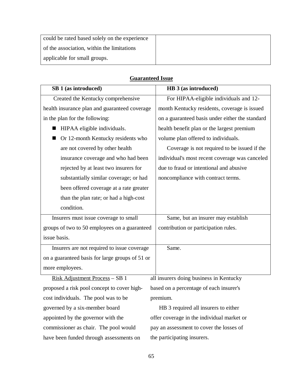| could be rated based solely on the experience |  |
|-----------------------------------------------|--|
| of the association, within the limitations    |  |
| applicable for small groups.                  |  |

| SB 1 (as introduced)                            | HB 3 (as introduced)                            |
|-------------------------------------------------|-------------------------------------------------|
| Created the Kentucky comprehensive              | For HIPAA-eligible individuals and 12-          |
| health insurance plan and guaranteed coverage   | month Kentucky residents, coverage is issued    |
| in the plan for the following:                  | on a guaranteed basis under either the standard |
| HIPAA eligible individuals.<br>ш                | health benefit plan or the largest premium      |
| Or 12-month Kentucky residents who              | volume plan offered to individuals.             |
| are not covered by other health                 | Coverage is not required to be issued if the    |
| insurance coverage and who had been             | individual's most recent coverage was canceled  |
| rejected by at least two insurers for           | due to fraud or intentional and abusive         |
| substantially similar coverage; or had          | noncompliance with contract terms.              |
| been offered coverage at a rate greater         |                                                 |
| than the plan rate; or had a high-cost          |                                                 |
| condition.                                      |                                                 |
| Insurers must issue coverage to small           | Same, but an insurer may establish              |
| groups of two to 50 employees on a guaranteed   | contribution or participation rules.            |
| issue basis.                                    |                                                 |
| Insurers are not required to issue coverage     | Same.                                           |
| on a guaranteed basis for large groups of 51 or |                                                 |
| more employees.                                 |                                                 |
| Risk Adjustment Process - SB 1                  | all insurers doing business in Kentucky         |
| proposed a risk pool concept to cover high-     | based on a percentage of each insurer's         |
| cost individuals. The pool was to be            | premium.                                        |
| governed by a six-member board                  | HB 3 required all insurers to either            |
| appointed by the governor with the              | offer coverage in the individual market or      |
| commissioner as chair. The pool would           | pay an assessment to cover the losses of        |

#### **Guaranteed Issue**

commissioner as chair. The pool would have been funded through assessments on

the participating insurers.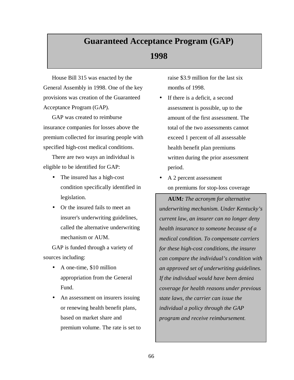### **Guaranteed Acceptance Program (GAP)**

### **1998**

House Bill 315 was enacted by the General Assembly in 1998. One of the key provisions was creation of the Guaranteed Acceptance Program (GAP).

GAP was created to reimburse insurance companies for losses above the premium collected for insuring people with specified high-cost medical conditions.

There are two ways an individual is eligible to be identified for GAP:

- The insured has a high-cost condition specifically identified in legislation.
- Or the insured fails to meet an insurer's underwriting guidelines, called the alternative underwriting mechanism or AUM.

GAP is funded through a variety of sources including:

- A one-time, \$10 million appropriation from the General Fund.
- An assessment on insurers issuing or renewing health benefit plans, based on market share and premium volume. The rate is set to

raise \$3.9 million for the last six months of 1998.

- If there is a deficit, a second assessment is possible, up to the amount of the first assessment. The total of the two assessments cannot exceed 1 percent of all assessable health benefit plan premiums written during the prior assessment period.
- A 2 percent assessment on premiums for stop-loss coverage

**AUM***: The acronym for alternative underwriting mechanism. Under Kentucky's current law, an insurer can no longer deny health insurance to someone because of a medical condition. To compensate carriers for these high-cost conditions, the insurer can compare the individual's condition with an approved set of underwriting guidelines. If the individual would have been denied coverage for health reasons under previous state laws, the carrier can issue the individual a policy through the GAP program and receive reimbursement.*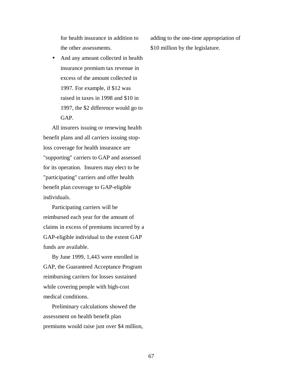for health insurance in addition to the other assessments.

• And any amount collected in health insurance premium tax revenue in excess of the amount collected in 1997. For example, if \$12 was raised in taxes in 1998 and \$10 in 1997, the \$2 difference would go to GAP.

All insurers issuing or renewing health benefit plans and all carriers issuing stoploss coverage for health insurance are "supporting" carriers to GAP and assessed for its operation. Insurers may elect to be "participating" carriers and offer health benefit plan coverage to GAP-eligible individuals.

Participating carriers will be reimbursed each year for the amount of claims in excess of premiums incurred by a GAP-eligible individual to the extent GAP funds are available.

By June 1999, 1,443 were enrolled in GAP, the Guaranteed Acceptance Program reimbursing carriers for losses sustained while covering people with high-cost medical conditions.

Preliminary calculations showed the assessment on health benefit plan premiums would raise just over \$4 million, adding to the one-time appropriation of \$10 million by the legislature.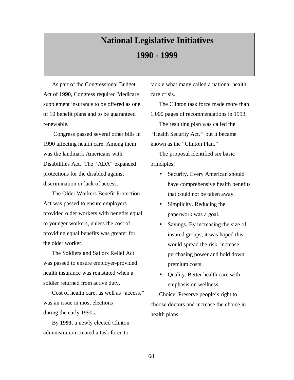## **National Legislative Initiatives 1990 - 1999**

As part of the Congressional Budget Act of **1990**, Congress required Medicare supplement insurance to be offered as one of 10 benefit plans and to be guaranteed renewable.

 Congress passed several other bills in 1990 affecting health care. Among them was the landmark Americans with Disabilities Act. The "ADA" expanded protections for the disabled against discrimination or lack of access.

The Older Workers Benefit Protection Act was passed to ensure employers provided older workers with benefits equal to younger workers, unless the cost of providing equal benefits was greater for the older worker.

The Soldiers and Sailors Relief Act was passed to ensure employer-provided health insurance was reinstated when a soldier returned from active duty.

Cost of health care, as well as "access," was an issue in most elections during the early 1990s.

By **1993**, a newly elected Clinton administration created a task force to

tackle what many called a national health care crisis.

The Clinton task force made more than 1,000 pages of recommendations in 1993.

The resulting plan was called the "Health Security Act,'' but it became known as the "Clinton Plan."

The proposal identified six basic principles:

- Security. Every American should have comprehensive health benefits that could not be taken away.
- Simplicity. Reducing the paperwork was a goal.
- Savings. By increasing the size of insured groups, it was hoped this would spread the risk, increase purchasing power and hold down premium costs.
- Quality. Better health care with emphasis on wellness.

Choice. Preserve people's right to choose doctors and increase the choice in health plans.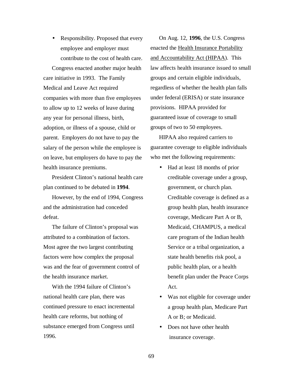• Responsibility. Proposed that every employee and employer must contribute to the cost of health care.

Congress enacted another major health care initiative in 1993. The Family Medical and Leave Act required companies with more than five employees to allow up to 12 weeks of leave during any year for personal illness, birth, adoption, or illness of a spouse, child or parent. Employers do not have to pay the salary of the person while the employee is on leave, but employers do have to pay the health insurance premiums.

President Clinton's national health care plan continued to be debated in **1994**.

However, by the end of 1994, Congress and the administration had conceded defeat.

The failure of Clinton's proposal was attributed to a combination of factors. Most agree the two largest contributing factors were how complex the proposal was and the fear of government control of the health insurance market.

With the 1994 failure of Clinton's national health care plan, there was continued pressure to enact incremental health care reforms, but nothing of substance emerged from Congress until 1996.

On Aug. 12, **1996**, the U.S. Congress enacted the Health Insurance Portability and Accountability Act (HIPAA). This law affects health insurance issued to small groups and certain eligible individuals, regardless of whether the health plan falls under federal (ERISA) or state insurance provisions. HIPAA provided for guaranteed issue of coverage to small groups of two to 50 employees.

HIPAA also required carriers to guarantee coverage to eligible individuals who met the following requirements:

- Had at least 18 months of prior creditable coverage under a group, government, or church plan. Creditable coverage is defined as a group health plan, health insurance coverage, Medicare Part A or B, Medicaid, CHAMPUS, a medical care program of the Indian health Service or a tribal organization, a state health benefits risk pool, a public health plan, or a health benefit plan under the Peace Corps Act.
- Was not eligible for coverage under a group health plan, Medicare Part A or B; or Medicaid.
- Does not have other health insurance coverage.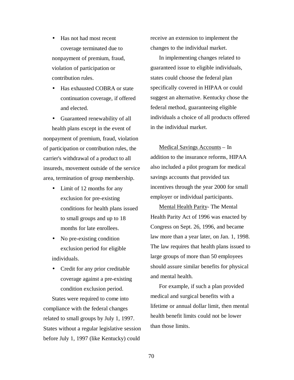- Has not had most recent coverage terminated due to nonpayment of premium, fraud, violation of participation or contribution rules.
- Has exhausted COBRA or state continuation coverage, if offered and elected.

• Guaranteed renewability of all health plans except in the event of nonpayment of premium, fraud, violation of participation or contribution rules, the carrier's withdrawal of a product to all insureds, movement outside of the service area, termination of group membership.

- Limit of 12 months for any exclusion for pre-existing conditions for health plans issued to small groups and up to 18 months for late enrollees.
- No pre-existing condition exclusion period for eligible individuals.
- Credit for any prior creditable coverage against a pre-existing condition exclusion period.

States were required to come into compliance with the federal changes related to small groups by July 1, 1997. States without a regular legislative session before July 1, 1997 (like Kentucky) could

receive an extension to implement the changes to the individual market.

In implementing changes related to guaranteed issue to eligible individuals, states could choose the federal plan specifically covered in HIPAA or could suggest an alternative. Kentucky chose the federal method, guaranteeing eligible individuals a choice of all products offered in the individual market.

Medical Savings Accounts – In addition to the insurance reforms, HIPAA also included a pilot program for medical savings accounts that provided tax incentives through the year 2000 for small employer or individual participants.

Mental Health Parity- The Mental Health Parity Act of 1996 was enacted by Congress on Sept. 26, 1996, and became law more than a year later, on Jan. 1, 1998. The law requires that health plans issued to large groups of more than 50 employees should assure similar benefits for physical and mental health.

For example, if such a plan provided medical and surgical benefits with a lifetime or annual dollar limit, then mental health benefit limits could not be lower than those limits.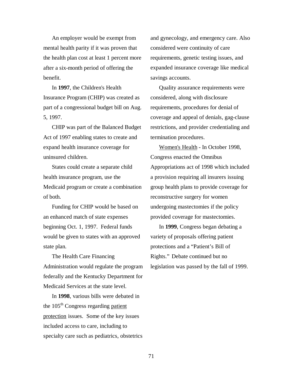An employer would be exempt from mental health parity if it was proven that the health plan cost at least 1 percent more after a six-month period of offering the benefit.

In **1997**, the Children's Health Insurance Program (CHIP) was created as part of a congressional budget bill on Aug. 5, 1997.

CHIP was part of the Balanced Budget Act of 1997 enabling states to create and expand health insurance coverage for uninsured children.

States could create a separate child health insurance program, use the Medicaid program or create a combination of both.

Funding for CHIP would be based on an enhanced match of state expenses beginning Oct. 1, 1997. Federal funds would be given to states with an approved state plan.

The Health Care Financing Administration would regulate the program federally and the Kentucky Department for Medicaid Services at the state level.

In **1998**, various bills were debated in the  $105<sup>th</sup>$  Congress regarding patient protection issues. Some of the key issues included access to care, including to specialty care such as pediatrics, obstetrics and gynecology, and emergency care. Also considered were continuity of care requirements, genetic testing issues, and expanded insurance coverage like medical savings accounts.

Quality assurance requirements were considered, along with disclosure requirements, procedures for denial of coverage and appeal of denials, gag-clause restrictions, and provider credentialing and termination procedures.

Women's Health - In October 1998, Congress enacted the Omnibus Appropriations act of 1998 which included a provision requiring all insurers issuing group health plans to provide coverage for reconstructive surgery for women undergoing mastectomies if the policy provided coverage for mastectomies.

In **1999**, Congress began debating a variety of proposals offering patient protections and a "Patient's Bill of Rights." Debate continued but no legislation was passed by the fall of 1999.

71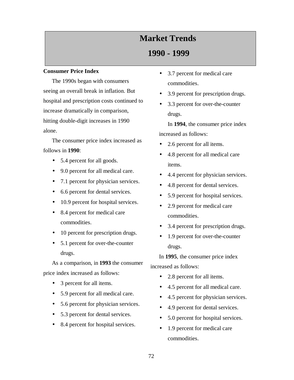# **Market Trends**

## **1990 - 1999**

### **Consumer Price Index**

The 1990s began with consumers seeing an overall break in inflation. But hospital and prescription costs continued to increase dramatically in comparison, hitting double-digit increases in 1990 alone.

The consumer price index increased as follows in **1990**:

- 5.4 percent for all goods.
- 9.0 percent for all medical care.
- 7.1 percent for physician services.
- 6.6 percent for dental services.
- 10.9 percent for hospital services.
- 8.4 percent for medical care commodities.
- 10 percent for prescription drugs.
- 5.1 percent for over-the-counter drugs.

As a comparison, in **1993** the consumer price index increased as follows:

- 3 percent for all items.
- 5.9 percent for all medical care.
- 5.6 percent for physician services.
- 5.3 percent for dental services.
- 8.4 percent for hospital services.
- 3.7 percent for medical care commodities.
- 3.9 percent for prescription drugs.
- 3.3 percent for over-the-counter drugs.

In **1994**, the consumer price index increased as follows:

- 2.6 percent for all items.
- 4.8 percent for all medical care items.
- 4.4 percent for physician services.
- 4.8 percent for dental services.
- 5.9 percent for hospital services.
- 2.9 percent for medical care commodities.
- 3.4 percent for prescription drugs.
- 1.9 percent for over-the-counter drugs.

In **1995**, the consumer price index increased as follows:

- 2.8 percent for all items.
- 4.5 percent for all medical care.
- 4.5 percent for physician services.
- 4.9 percent for dental services.
- 5.0 percent for hospital services.
- 1.9 percent for medical care commodities.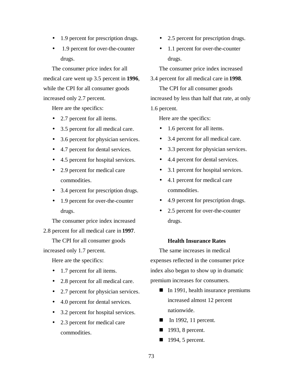- 1.9 percent for prescription drugs.
- 1.9 percent for over-the-counter drugs.

The consumer price index for all medical care went up 3.5 percent in **1996**, while the CPI for all consumer goods increased only 2.7 percent.

Here are the specifics:

- 2.7 percent for all items.
- 3.5 percent for all medical care.
- 3.6 percent for physician services.
- 4.7 percent for dental services.
- 4.5 percent for hospital services.
- 2.9 percent for medical care commodities.
- 3.4 percent for prescription drugs.
- 1.9 percent for over-the-counter drugs.

The consumer price index increased

2.8 percent for all medical care in **1997**.

The CPI for all consumer goods

increased only 1.7 percent.

Here are the specifics:

- 1.7 percent for all items.
- 2.8 percent for all medical care.
- 2.7 percent for physician services.
- 4.0 percent for dental services.
- 3.2 percent for hospital services.
- 2.3 percent for medical care commodities.
- 2.5 percent for prescription drugs.
- 1.1 percent for over-the-counter drugs.

The consumer price index increased

#### 3.4 percent for all medical care in **1998**.

The CPI for all consumer goods increased by less than half that rate, at only 1.6 percent.

Here are the specifics:

- 1.6 percent for all items.
- 3.4 percent for all medical care.
- 3.3 percent for physician services.
- 4.4 percent for dental services.
- 3.1 percent for hospital services.
- 4.1 percent for medical care commodities.
- 4.9 percent for prescription drugs.
- 2.5 percent for over-the-counter drugs.

#### **Health Insurance Rates**

The same increases in medical expenses reflected in the consumer price index also began to show up in dramatic premium increases for consumers.

- $\blacksquare$  In 1991, health insurance premiums increased almost 12 percent nationwide.
- In 1992, 11 percent.
- $\blacksquare$  1993, 8 percent.
- $\blacksquare$  1994, 5 percent.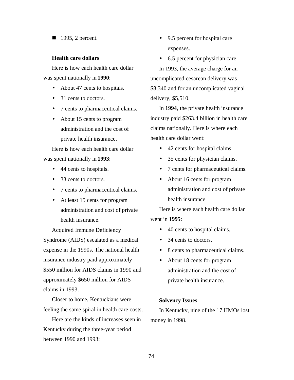$\blacksquare$  1995, 2 percent.

#### **Health care dollars**

Here is how each health care dollar was spent nationally in **1990**:

- About 47 cents to hospitals.
- 31 cents to doctors.
- 7 cents to pharmaceutical claims.
- About 15 cents to program administration and the cost of private health insurance.

Here is how each health care dollar was spent nationally in **1993**:

- 44 cents to hospitals.
- 33 cents to doctors.
- 7 cents to pharmaceutical claims.
- At least 15 cents for program administration and cost of private health insurance.

Acquired Immune Deficiency Syndrome (AIDS) escalated as a medical expense in the 1990s. The national health insurance industry paid approximately \$550 million for AIDS claims in 1990 and approximately \$650 million for AIDS claims in 1993.

Closer to home, Kentuckians were feeling the same spiral in health care costs.

Here are the kinds of increases seen in Kentucky during the three-year period between 1990 and 1993:

- 9.5 percent for hospital care expenses.
- 6.5 percent for physician care.

In 1993, the average charge for an uncomplicated cesarean delivery was \$8,340 and for an uncomplicated vaginal delivery, \$5,510.

In **1994**, the private health insurance industry paid \$263.4 billion in health care claims nationally. Here is where each health care dollar went:

- 42 cents for hospital claims.
- 35 cents for physician claims.
- 7 cents for pharmaceutical claims.
- About 16 cents for program administration and cost of private health insurance.

Here is where each health care dollar went in **1995**:

- 40 cents to hospital claims.
- 34 cents to doctors.
- 8 cents to pharmaceutical claims.
- About 18 cents for program administration and the cost of private health insurance.

#### **Solvency Issues**

In Kentucky, nine of the 17 HMOs lost money in 1998.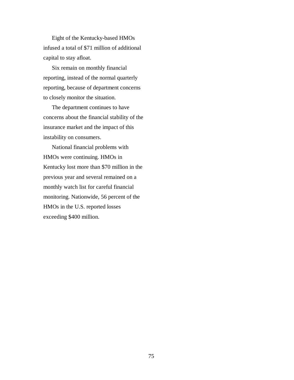Eight of the Kentucky-based HMOs infused a total of \$71 million of additional capital to stay afloat.

Six remain on monthly financial reporting, instead of the normal quarterly reporting, because of department concerns to closely monitor the situation.

The department continues to have concerns about the financial stability of the insurance market and the impact of this instability on consumers.

National financial problems with HMOs were continuing. HMOs in Kentucky lost more than \$70 million in the previous year and several remained on a monthly watch list for careful financial monitoring. Nationwide, 56 percent of the HMOs in the U.S. reported losses exceeding \$400 million.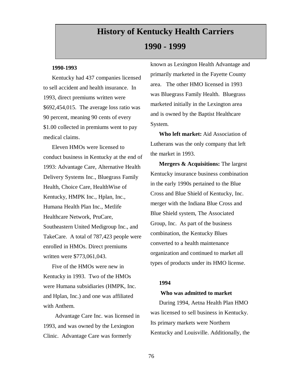# **History of Kentucky Health Carriers**

## **1990 - 1999**

#### **1990-1993**

Kentucky had 437 companies licensed to sell accident and health insurance. In 1993, direct premiums written were \$692,454,015. The average loss ratio was 90 percent, meaning 90 cents of every \$1.00 collected in premiums went to pay medical claims.

Eleven HMOs were licensed to conduct business in Kentucky at the end of 1993: Advantage Care, Alternative Health Delivery Systems Inc., Bluegrass Family Health, Choice Care, HealthWise of Kentucky, HMPK Inc., Hplan, Inc., Humana Health Plan Inc., Metlife Healthcare Network, PruCare, Southeastern United Medigroup Inc., and TakeCare. A total of 787,423 people were enrolled in HMOs. Direct premiums written were \$773,061,043.

Five of the HMOs were new in Kentucky in 1993. Two of the HMOs were Humana subsidiaries (HMPK, Inc. and Hplan, Inc.) and one was affiliated with Anthem.

 Advantage Care Inc. was licensed in 1993, and was owned by the Lexington Clinic. Advantage Care was formerly

known as Lexington Health Advantage and primarily marketed in the Fayette County area. The other HMO licensed in 1993 was Bluegrass Family Health. Bluegrass marketed initially in the Lexington area and is owned by the Baptist Healthcare System.

**Who left market:** Aid Association of Lutherans was the only company that left the market in 1993.

**Mergers & Acquisitions:** The largest Kentucky insurance business combination in the early 1990s pertained to the Blue Cross and Blue Shield of Kentucky, Inc. merger with the Indiana Blue Cross and Blue Shield system, The Associated Group, Inc. As part of the business combination, the Kentucky Blues converted to a health maintenance organization and continued to market all types of products under its HMO license.

## **1994**

### **Who was admitted to market**

During 1994, Aetna Health Plan HMO was licensed to sell business in Kentucky. Its primary markets were Northern Kentucky and Louisville. Additionally, the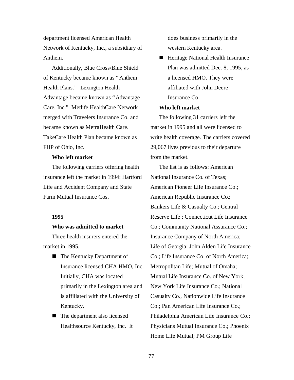department licensed American Health Network of Kentucky, Inc., a subsidiary of Anthem.

Additionally, Blue Cross/Blue Shield of Kentucky became known as "Anthem Health Plans." Lexington Health Advantage became known as "Advantage Care, Inc." Metlife HealthCare Network merged with Travelers Insurance Co. and became known as MetraHealth Care. TakeCare Health Plan became known as FHP of Ohio, Inc.

### **Who left market**

The following carriers offering health insurance left the market in 1994: Hartford Life and Accident Company and State Farm Mutual Insurance Cos.

### **1995**

#### **Who was admitted to market**

Three health insurers entered the market in 1995.

- The Kentucky Department of Insurance licensed CHA HMO, Inc. Initially, CHA was located primarily in the Lexington area and is affiliated with the University of Kentucky.
- The department also licensed Healthsource Kentucky, Inc. It

does business primarily in the western Kentucky area.

■ Heritage National Health Insurance Plan was admitted Dec. 8, 1995, as a licensed HMO. They were affiliated with John Deere Insurance Co.

#### **Who left market**

The following 31 carriers left the market in 1995 and all were licensed to write health coverage. The carriers covered 29,067 lives previous to their departure from the market.

The list is as follows: American National Insurance Co. of Texas; American Pioneer Life Insurance Co.; American Republic Insurance Co.; Bankers Life & Casualty Co.; Central Reserve Life ; Connecticut Life Insurance Co.; Community National Assurance Co.; Insurance Company of North America; Life of Georgia; John Alden Life Insurance Co.; Life Insurance Co. of North America; Metropolitan Life; Mutual of Omaha; Mutual Life Insurance Co. of New York; New York Life Insurance Co.; National Casualty Co., Nationwide Life Insurance Co.; Pan American Life Insurance Co.; Philadelphia American Life Insurance Co.; Physicians Mutual Insurance Co.; Phoenix Home Life Mutual; PM Group Life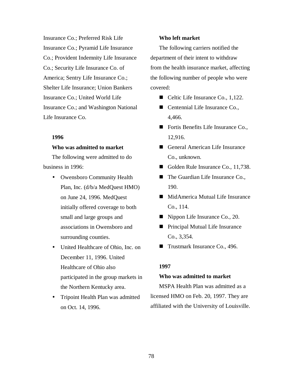Insurance Co.; Preferred Risk Life Insurance Co.; Pyramid Life Insurance Co.; Provident Indemnity Life Insurance Co.; Security Life Insurance Co. of America; Sentry Life Insurance Co.; Shelter Life Insurance; Union Bankers Insurance Co.; United World Life Insurance Co.; and Washington National Life Insurance Co.

**1996**

#### **Who was admitted to market**

The following were admitted to do business in 1996:

- Owensboro Community Health Plan, Inc. (d/b/a MedQuest HMO) on June 24, 1996. MedQuest initially offered coverage to both small and large groups and associations in Owensboro and surrounding counties.
- United Healthcare of Ohio, Inc. on December 11, 1996. United Healthcare of Ohio also participated in the group markets in the Northern Kentucky area.
- Tripoint Health Plan was admitted on Oct. 14, 1996.

#### **Who left market**

The following carriers notified the department of their intent to withdraw from the health insurance market, affecting the following number of people who were covered:

- $\blacksquare$  Celtic Life Insurance Co., 1,122.
- Centennial Life Insurance Co., 4,466.
- Fortis Benefits Life Insurance Co., 12,916.
- General American Life Insurance Co., unknown.
- Golden Rule Insurance Co., 11,738.
- $\blacksquare$  The Guardian Life Insurance Co., 190.
- $\blacksquare$  MidAmerica Mutual Life Insurance Co., 114.
- $\blacksquare$  Nippon Life Insurance Co., 20.
- Principal Mutual Life Insurance Co., 3,354.
- $\blacksquare$  Trustmark Insurance Co., 496.

### **1997**

### **Who was admitted to market**

MSPA Health Plan was admitted as a licensed HMO on Feb. 20, 1997. They are affiliated with the University of Louisville.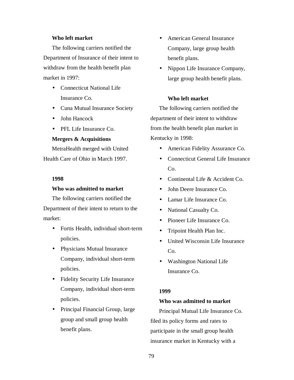#### **Who left market**

The following carriers notified the Department of Insurance of their intent to withdraw from the health benefit plan market in 1997:

- Connecticut National Life Insurance Co.
- Cuna Mutual Insurance Society
- John Hancock
- PFL Life Insurance Co.

#### **Mergers & Acquisitions**

MetraHealth merged with United Health Care of Ohio in March 1997.

#### **1998**

#### **Who was admitted to market**

The following carriers notified the Department of their intent to return to the market:

- Fortis Health, individual short-term policies.
- Physicians Mutual Insurance Company, individual short-term policies.
- Fidelity Security Life Insurance Company, individual short-term policies.
- Principal Financial Group, large group and small group health benefit plans.
- American General Insurance Company, large group health benefit plans.
- Nippon Life Insurance Company, large group health benefit plans.

### **Who left market**

The following carriers notified the department of their intent to withdraw from the health benefit plan market in Kentucky in 1998:

- American Fidelity Assurance Co.
- Connecticut General Life Insurance  $Co.$
- Continental Life & Accident Co.
- John Deere Insurance Co.
- Lamar Life Insurance Co.
- National Casualty Co.
- Pioneer Life Insurance Co.
- Tripoint Health Plan Inc.
- United Wisconsin Life Insurance  $Co.$
- Washington National Life Insurance Co.

#### **1999**

#### **Who was admitted to market**

Principal Mutual Life Insurance Co. filed its policy forms and rates to participate in the small group health insurance market in Kentucky with a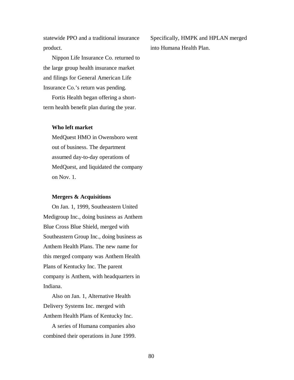statewide PPO and a traditional insurance product.

Nippon Life Insurance Co. returned to the large group health insurance market and filings for General American Life Insurance Co.'s return was pending.

Fortis Health began offering a shortterm health benefit plan during the year.

#### **Who left market**

MedQuest HMO in Owensboro went out of business. The department assumed day-to-day operations of MedQuest, and liquidated the company on Nov. 1.

#### **Mergers & Acquisitions**

On Jan. 1, 1999, Southeastern United Medigroup Inc., doing business as Anthem Blue Cross Blue Shield, merged with Southeastern Group Inc., doing business as Anthem Health Plans. The new name for this merged company was Anthem Health Plans of Kentucky Inc. The parent company is Anthem, with headquarters in Indiana.

Also on Jan. 1, Alternative Health Delivery Systems Inc. merged with Anthem Health Plans of Kentucky Inc.

A series of Humana companies also combined their operations in June 1999. Specifically, HMPK and HPLAN merged into Humana Health Plan.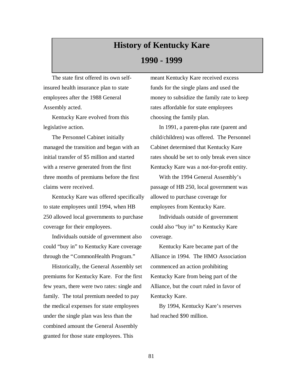# **History of Kentucky Kare 1990 - 1999**

The state first offered its own selfinsured health insurance plan to state employees after the 1988 General Assembly acted.

Kentucky Kare evolved from this legislative action.

The Personnel Cabinet initially managed the transition and began with an initial transfer of \$5 million and started with a reserve generated from the first three months of premiums before the first claims were received.

Kentucky Kare was offered specifically to state employees until 1994, when HB 250 allowed local governments to purchase coverage for their employees.

Individuals outside of government also could "buy in" to Kentucky Kare coverage through the "CommonHealth Program."

Historically, the General Assembly set premiums for Kentucky Kare. For the first few years, there were two rates: single and family. The total premium needed to pay the medical expenses for state employees under the single plan was less than the combined amount the General Assembly granted for those state employees. This

meant Kentucky Kare received excess funds for the single plans and used the money to subsidize the family rate to keep rates affordable for state employees choosing the family plan.

In 1991, a parent-plus rate (parent and child/children) was offered. The Personnel Cabinet determined that Kentucky Kare rates should be set to only break even since Kentucky Kare was a not-for-profit entity.

With the 1994 General Assembly's passage of HB 250, local government was allowed to purchase coverage for employees from Kentucky Kare.

Individuals outside of government could also "buy in" to Kentucky Kare coverage.

Kentucky Kare became part of the Alliance in 1994. The HMO Association commenced an action prohibiting Kentucky Kare from being part of the Alliance, but the court ruled in favor of Kentucky Kare.

By 1994, Kentucky Kare's reserves had reached \$90 million.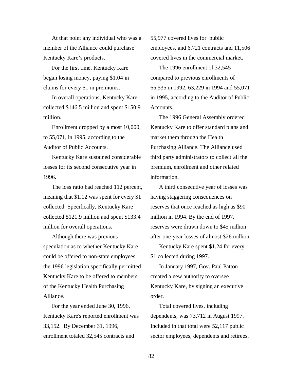At that point any individual who was a member of the Alliance could purchase Kentucky Kare's products.

For the first time, Kentucky Kare began losing money, paying \$1.04 in claims for every \$1 in premiums.

In overall operations, Kentucky Kare collected \$146.5 million and spent \$150.9 million.

Enrollment dropped by almost 10,000, to 55,071, in 1995, according to the Auditor of Public Accounts.

Kentucky Kare sustained considerable losses for its second consecutive year in 1996.

The loss ratio had reached 112 percent, meaning that \$1.12 was spent for every \$1 collected. Specifically, Kentucky Kare collected \$121.9 million and spent \$133.4 million for overall operations.

Although there was previous speculation as to whether Kentucky Kare could be offered to non-state employees, the 1996 legislation specifically permitted Kentucky Kare to be offered to members of the Kentucky Health Purchasing Alliance.

For the year ended June 30, 1996, Kentucky Kare's reported enrollment was 33,152. By December 31, 1996, enrollment totaled 32,545 contracts and

55,977 covered lives for public employees, and 6,721 contracts and 11,506 covered lives in the commercial market.

The 1996 enrollment of 32,545 compared to previous enrollments of 65,535 in 1992, 63,229 in 1994 and 55,071 in 1995, according to the Auditor of Public Accounts.

The 1996 General Assembly ordered Kentucky Kare to offer standard plans and market them through the Health Purchasing Alliance. The Alliance used third party administrators to collect all the premium, enrollment and other related information.

A third consecutive year of losses was having staggering consequences on reserves that once reached as high as \$90 million in 1994. By the end of 1997, reserves were drawn down to \$45 million after one-year losses of almost \$26 million.

Kentucky Kare spent \$1.24 for every \$1 collected during 1997.

In January 1997, Gov. Paul Patton created a new authority to oversee Kentucky Kare, by signing an executive order.

Total covered lives, including dependents, was 73,712 in August 1997. Included in that total were 52,117 public sector employees, dependents and retirees.

82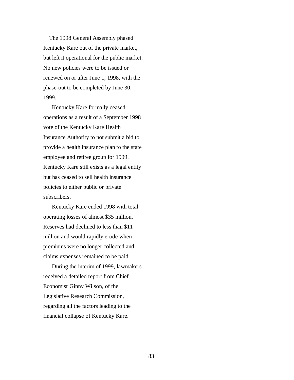The 1998 General Assembly phased Kentucky Kare out of the private market, but left it operational for the public market. No new policies were to be issued or renewed on or after June 1, 1998, with the phase-out to be completed by June 30, 1999.

Kentucky Kare formally ceased operations as a result of a September 1998 vote of the Kentucky Kare Health Insurance Authority to not submit a bid to provide a health insurance plan to the state employee and retiree group for 1999. Kentucky Kare still exists as a legal entity but has ceased to sell health insurance policies to either public or private subscribers.

Kentucky Kare ended 1998 with total operating losses of almost \$35 million. Reserves had declined to less than \$11 million and would rapidly erode when premiums were no longer collected and claims expenses remained to be paid.

During the interim of 1999, lawmakers received a detailed report from Chief Economist Ginny Wilson, of the Legislative Research Commission, regarding all the factors leading to the financial collapse of Kentucky Kare.

83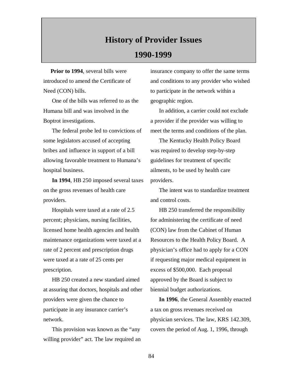# **History of Provider Issues 1990-1999**

 **Prior to 1994**, several bills were introduced to amend the Certificate of Need (CON) bills.

One of the bills was referred to as the Humana bill and was involved in the Boptrot investigations.

The federal probe led to convictions of some legislators accused of accepting bribes and influence in support of a bill allowing favorable treatment to Humana's hospital business.

**In 1994**, HB 250 imposed several taxes on the gross revenues of health care providers.

Hospitals were taxed at a rate of 2.5 percent; physicians, nursing facilities, licensed home health agencies and health maintenance organizations were taxed at a rate of 2 percent and prescription drugs were taxed at a rate of 25 cents per prescription.

HB 250 created a new standard aimed at assuring that doctors, hospitals and other providers were given the chance to participate in any insurance carrier's network.

This provision was known as the "any willing provider" act. The law required an insurance company to offer the same terms and conditions to any provider who wished to participate in the network within a geographic region.

In addition, a carrier could not exclude a provider if the provider was willing to meet the terms and conditions of the plan.

The Kentucky Health Policy Board was required to develop step-by-step guidelines for treatment of specific ailments, to be used by health care providers.

The intent was to standardize treatment and control costs.

HB 250 transferred the responsibility for administering the certificate of need (CON) law from the Cabinet of Human Resources to the Health Policy Board. A physician's office had to apply for a CON if requesting major medical equipment in excess of \$500,000. Each proposal approved by the Board is subject to biennial budget authorizations.

**In 1996**, the General Assembly enacted a tax on gross revenues received on physician services. The law, KRS 142.309, covers the period of Aug. 1, 1996, through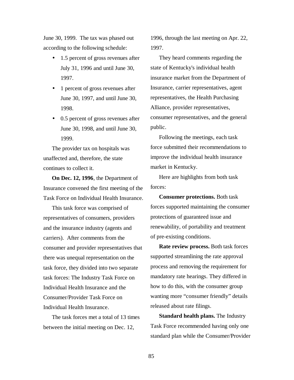June 30, 1999. The tax was phased out according to the following schedule:

- 1.5 percent of gross revenues after July 31, 1996 and until June 30, 1997.
- 1 percent of gross revenues after June 30, 1997, and until June 30, 1998.
- 0.5 percent of gross revenues after June 30, 1998, and until June 30, 1999.

The provider tax on hospitals was unaffected and, therefore, the state continues to collect it.

**On Dec. 12, 1996**, the Department of Insurance convened the first meeting of the Task Force on Individual Health Insurance.

This task force was comprised of representatives of consumers, providers and the insurance industry (agents and carriers). After comments from the consumer and provider representatives that there was unequal representation on the task force, they divided into two separate task forces: The Industry Task Force on Individual Health Insurance and the Consumer/Provider Task Force on Individual Health Insurance.

The task forces met a total of 13 times between the initial meeting on Dec. 12,

1996, through the last meeting on Apr. 22, 1997.

They heard comments regarding the state of Kentucky's individual health insurance market from the Department of Insurance, carrier representatives, agent representatives, the Health Purchasing Alliance, provider representatives, consumer representatives, and the general public.

Following the meetings, each task force submitted their recommendations to improve the individual health insurance market in Kentucky.

Here are highlights from both task forces:

**Consumer protections.** Both task forces supported maintaining the consumer protections of guaranteed issue and renewability, of portability and treatment of pre-existing conditions.

**Rate review process.** Both task forces supported streamlining the rate approval process and removing the requirement for mandatory rate hearings. They differed in how to do this, with the consumer group wanting more "consumer friendly" details released about rate filings.

**Standard health plans.** The Industry Task Force recommended having only one standard plan while the Consumer/Provider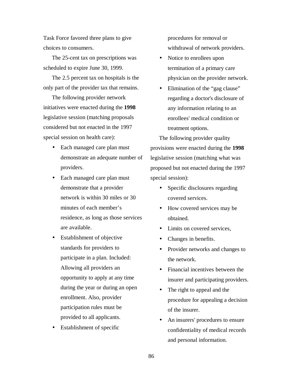Task Force favored three plans to give choices to consumers.

The 25-cent tax on prescriptions was scheduled to expire June 30, 1999.

The 2.5 percent tax on hospitals is the only part of the provider tax that remains.

The following provider network initiatives were enacted during the **1998** legislative session (matching proposals considered but not enacted in the 1997 special session on health care):

- Each managed care plan must demonstrate an adequate number of providers.
- Each managed care plan must demonstrate that a provider network is within 30 miles or 30 minutes of each member's residence, as long as those services are available.
- Establishment of objective standards for providers to participate in a plan. Included: Allowing all providers an opportunity to apply at any time during the year or during an open enrollment. Also, provider participation rules must be provided to all applicants.
- Establishment of specific

procedures for removal or withdrawal of network providers.

- Notice to enrollees upon termination of a primary care physician on the provider network.
- Elimination of the "gag clause" regarding a doctor's disclosure of any information relating to an enrollees' medical condition or treatment options.

The following provider quality provisions were enacted during the **1998** legislative session (matching what was proposed but not enacted during the 1997 special session):

- Specific disclosures regarding covered services.
- How covered services may be obtained.
- Limits on covered services,
- Changes in benefits.
- Provider networks and changes to the network.
- Financial incentives between the insurer and participating providers.
- The right to appeal and the procedure for appealing a decision of the insurer.
- An insurers' procedures to ensure confidentiality of medical records and personal information.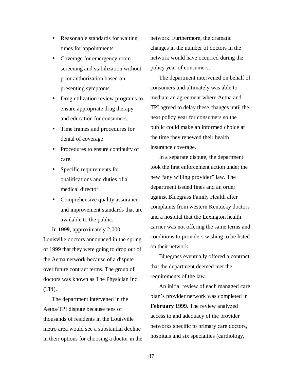- Reasonable standards for waiting times for appointments.
- Coverage for emergency room screening and stabilization without prior authorization based on presenting symptoms.
- Drug utilization review programs to ensure appropriate drug therapy and education for consumers.
- Time frames and procedures for denial of coverage
- Procedures to ensure continuity of care.
- Specific requirements for qualifications and duties of a medical director.
- Comprehensive quality assurance and improvement standards that are available to the public.

In **1999**, approximately 2,000 Louisville doctors announced in the spring of 1999 that they were going to drop out of the Aetna network because of a dispute over future contract terms. The group of doctors was known as The Physician Inc. (TPI).

The department intervened in the Aetna/TPI dispute because tens of thousands of residents in the Louisville metro area would see a substantial decline in their options for choosing a doctor in the network. Furthermore, the dramatic changes in the number of doctors in the network would have occurred during the policy year of consumers.

The department intervened on behalf of consumers and ultimately was able to mediate an agreement where Aetna and TPI agreed to delay these changes until the next policy year for consumers so the public could make an informed choice at the time they renewed their health insurance coverage.

In a separate dispute, the department took the first enforcement action under the new "any willing provider" law. The department issued fines and an order against Bluegrass Family Health after complaints from western Kentucky doctors and a hospital that the Lexington health carrier was not offering the same terms and conditions to providers wishing to be listed on their network.

Bluegrass eventually offered a contract that the department deemed met the requirements of the law.

An initial review of each managed care plan's provider network was completed in **February 1999**. The review analyzed access to and adequacy of the provider networks specific to primary care doctors, hospitals and six specialties (cardiology,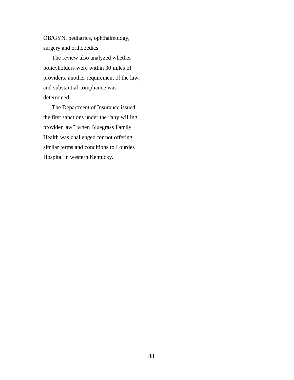OB/GYN, pediatrics, ophthalmology, surgery and orthopedics.

The review also analyzed whether policyholders were within 30 miles of providers, another requirement of the law, and substantial compliance was determined.

The Department of Insurance issued the first sanctions under the "any willing provider law" when Bluegrass Family Health was challenged for not offering similar terms and conditions to Lourdes Hospital in western Kentucky.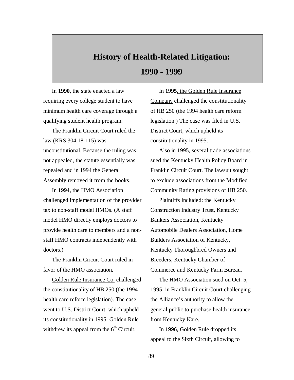# **History of Health-Related Litigation: 1990 - 1999**

In **1990**, the state enacted a law requiring every college student to have minimum health care coverage through a qualifying student health program.

The Franklin Circuit Court ruled the law (KRS 304.18-115) was unconstitutional. Because the ruling was not appealed, the statute essentially was repealed and in 1994 the General Assembly removed it from the books.

In **1994**, the HMO Association challenged implementation of the provider tax to non-staff model HMOs. (A staff model HMO directly employs doctors to provide health care to members and a nonstaff HMO contracts independently with doctors.)

The Franklin Circuit Court ruled in favor of the HMO association.

Golden Rule Insurance Co. challenged the constitutionality of HB 250 (the 1994 health care reform legislation). The case went to U.S. District Court, which upheld its constitutionality in 1995. Golden Rule withdrew its appeal from the  $6<sup>th</sup>$  Circuit.

In **1995**, the Golden Rule Insurance Company challenged the constitutionality of HB 250 (the 1994 health care reform legislation.) The case was filed in U.S. District Court, which upheld its constitutionality in 1995.

Also in 1995, several trade associations sued the Kentucky Health Policy Board in Franklin Circuit Court. The lawsuit sought to exclude associations from the Modified Community Rating provisions of HB 250.

Plaintiffs included: the Kentucky Construction Industry Trust, Kentucky Bankers Association, Kentucky Automobile Dealers Association, Home Builders Association of Kentucky, Kentucky Thoroughbred Owners and Breeders, Kentucky Chamber of Commerce and Kentucky Farm Bureau.

The HMO Association sued on Oct. 5, 1995, in Franklin Circuit Court challenging the Alliance's authority to allow the general public to purchase health insurance from Kentucky Kare.

In **1996**, Golden Rule dropped its appeal to the Sixth Circuit, allowing to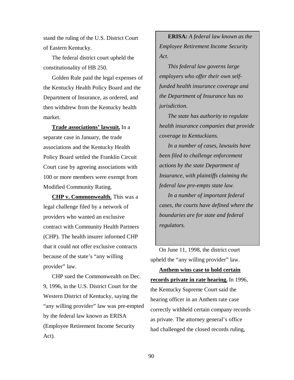stand the ruling of the U.S. District Court of Eastern Kentucky.

The federal district court upheld the constitutionality of HB 250.

Golden Rule paid the legal expenses of the Kentucky Health Policy Board and the Department of Insurance, as ordered, and then withdrew from the Kentucky health market.

**Trade associations' lawsuit.** In a separate case in January, the trade associations and the Kentucky Health Policy Board settled the Franklin Circuit Court case by agreeing associations with 100 or more members were exempt from Modified Community Rating.

**CHP v. Commonwealth.** This was a legal challenge filed by a network of providers who wanted an exclusive contract with Community Health Partners (CHP). The health insurer informed CHP that it could not offer exclusive contracts because of the state's "any willing provider" law.

CHP sued the Commonwealth on Dec. 9, 1996, in the U.S. District Court for the Western District of Kentucky, saying the "any willing provider" law was pre-empted by the federal law known as ERISA (Employee Retirement Income Security Act).

**ERISA***: A federal law known as the Employee Retirement Income Security Act.*

*This federal law governs large employers who offer their own selffunded health insurance coverage and the Department of Insurance has no jurisdiction.*

*The state has authority to regulate health insurance companies that provide coverage to Kentuckians.*

*In a number of cases, lawsuits have been filed to challenge enforcement actions by the state Department of Insurance, with plaintiffs claiming the federal law pre-empts state law.*

*In a number of important federal cases, the courts have defined where the boundaries are for state and federal regulators.*

On June 11, 1998, the district court upheld the "any willing provider" law.

**Anthem wins case to hold certain records private in rate hearing.** In 1996, the Kentucky Supreme Court said the hearing officer in an Anthem rate case correctly withheld certain company records as private. The attorney general's office had challenged the closed records ruling,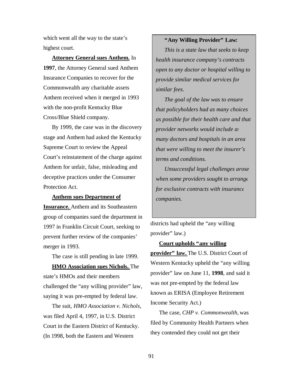which went all the way to the state's highest court.

**Attorney General sues Anthem.** In **1997**, the Attorney General sued Anthem Insurance Companies to recover for the Commonwealth any charitable assets Anthem received when it merged in 1993 with the non-profit Kentucky Blue Cross/Blue Shield company.

By 1999, the case was in the discovery stage and Anthem had asked the Kentucky Supreme Court to review the Appeal Court's reinstatement of the charge against Anthem for unfair, false, misleading and deceptive practices under the Consumer Protection Act.

#### **Anthem sues Department of**

**Insurance.** Anthem and its Southeastern group of companies sued the department in 1997 in Franklin Circuit Court, seeking to prevent further review of the companies' merger in 1993.

The case is still pending in late 1999.

**HMO Association sues Nichols.** The state's HMOs and their members challenged the "any willing provider" law, saying it was pre-empted by federal law.

The suit, *HMO Association v. Nichols,* was filed April 4, 1997, in U.S. District Court in the Eastern District of Kentucky. (In 1998, both the Eastern and Western

## **"Any Willing Provider" Law***:*

*This is a state law that seeks to keep health insurance company's contracts open to any doctor or hospital willing to provide similar medical services for similar fees.*

*The goal of the law was to ensure that policyholders had as many choices as possible for their health care and that provider networks would include as many doctors and hospitals in an area that were willing to meet the insurer's terms and conditions.*

*Unsuccessful legal challenges arose when some providers sought to arrange for exclusive contracts with insurance companies.*

districts had upheld the "any willing provider" law.)

#### **Court upholds "any willing**

**provider" law.** The U.S. District Court of Western Kentucky upheld the "any willing provider" law on June 11, **1998**, and said it was not pre-empted by the federal law known as ERISA (Employee Retirement Income Security Act.)

The case, *CHP v. Commonwealth,* was filed by Community Health Partners when they contended they could not get their